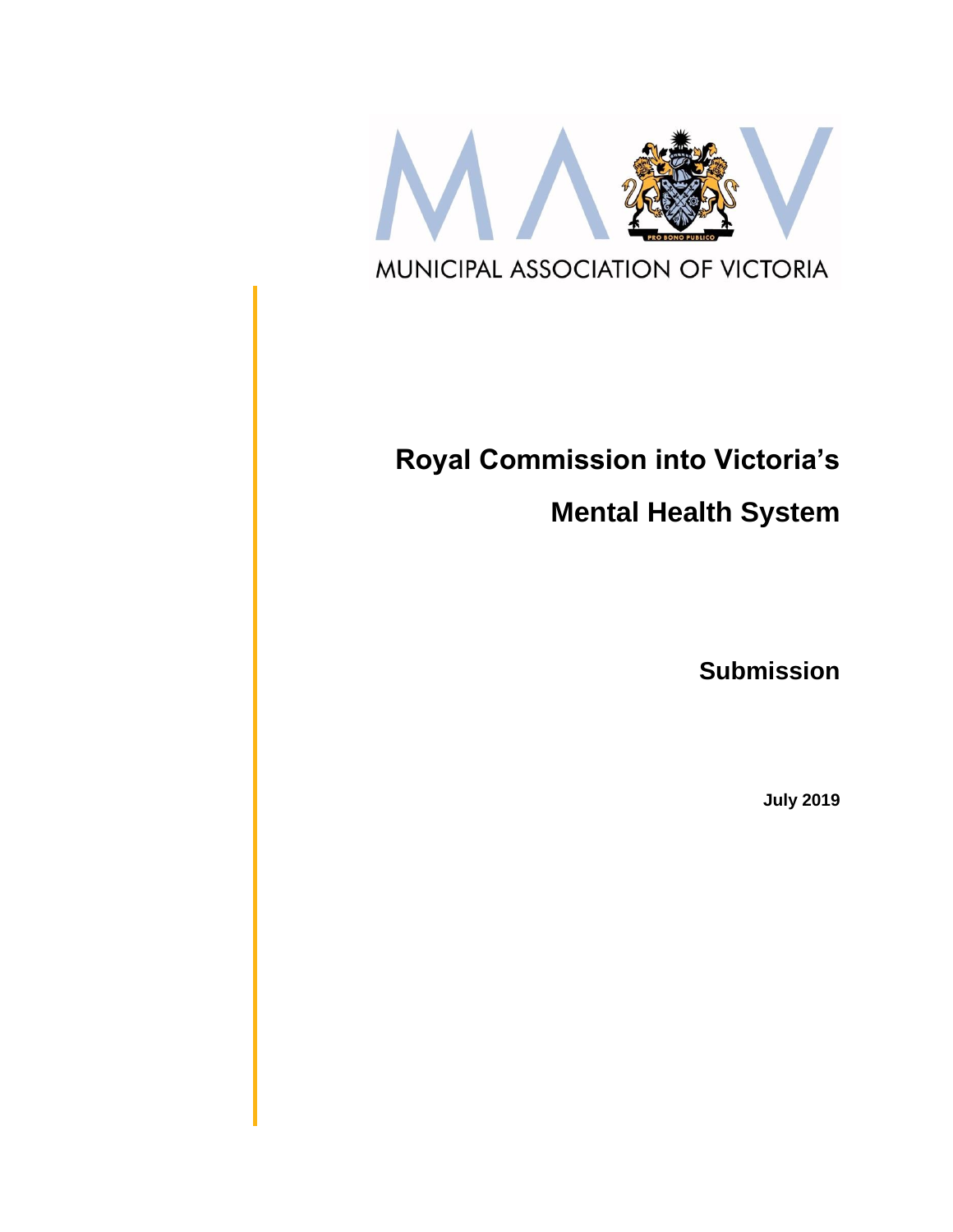

# **Royal Commission into Victoria's**

**Mental Health System**

**Submission**

**July 2019**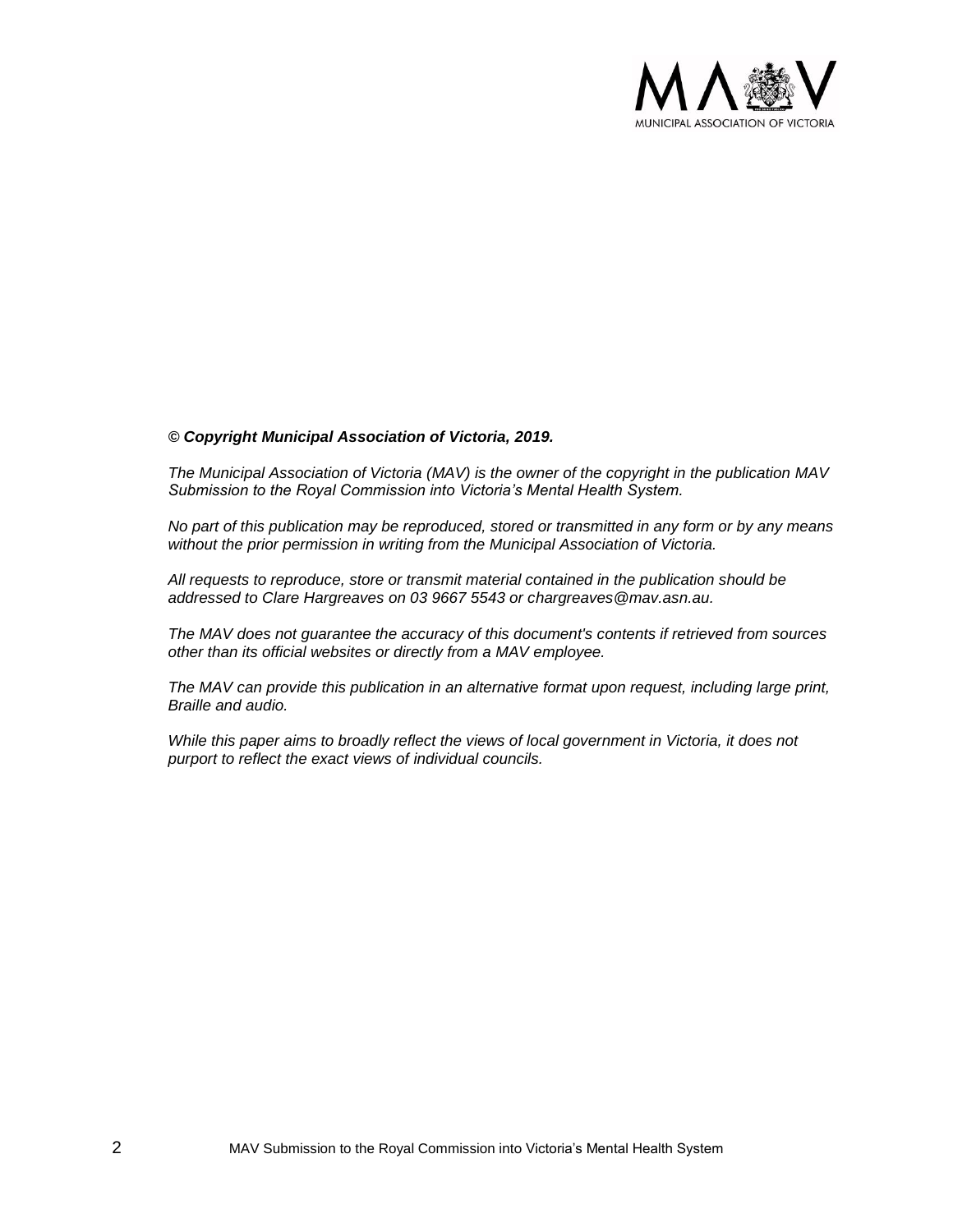

#### *© Copyright Municipal Association of Victoria, 2019.*

*The Municipal Association of Victoria (MAV) is the owner of the copyright in the publication MAV Submission to the Royal Commission into Victoria's Mental Health System.* 

*No part of this publication may be reproduced, stored or transmitted in any form or by any means without the prior permission in writing from the Municipal Association of Victoria.* 

*All requests to reproduce, store or transmit material contained in the publication should be addressed to Clare Hargreaves on 03 9667 5543 or chargreaves@mav.asn.au.* 

*The MAV does not guarantee the accuracy of this document's contents if retrieved from sources other than its official websites or directly from a MAV employee.*

*The MAV can provide this publication in an alternative format upon request, including large print, Braille and audio.* 

*While this paper aims to broadly reflect the views of local government in Victoria, it does not purport to reflect the exact views of individual councils.*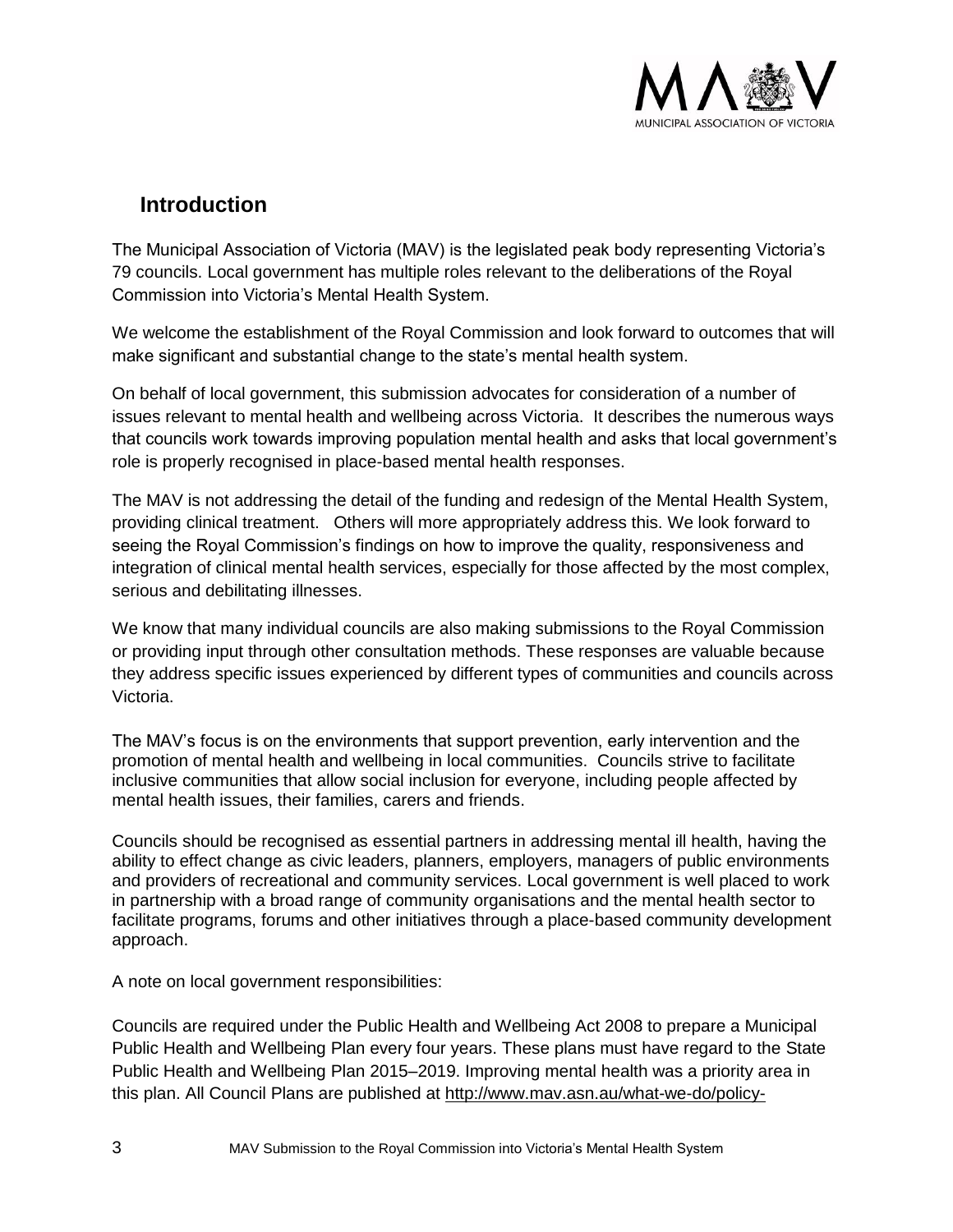

# **Introduction**

The Municipal Association of Victoria (MAV) is the legislated peak body representing Victoria's 79 councils. Local government has multiple roles relevant to the deliberations of the Royal Commission into Victoria's Mental Health System.

We welcome the establishment of the Royal Commission and look forward to outcomes that will make significant and substantial change to the state's mental health system.

On behalf of local government, this submission advocates for consideration of a number of issues relevant to mental health and wellbeing across Victoria. It describes the numerous ways that councils work towards improving population mental health and asks that local government's role is properly recognised in place-based mental health responses.

The MAV is not addressing the detail of the funding and redesign of the Mental Health System, providing clinical treatment. Others will more appropriately address this. We look forward to seeing the Royal Commission's findings on how to improve the quality, responsiveness and integration of clinical mental health services, especially for those affected by the most complex, serious and debilitating illnesses.

We know that many individual councils are also making submissions to the Royal Commission or providing input through other consultation methods. These responses are valuable because they address specific issues experienced by different types of communities and councils across Victoria.

The MAV's focus is on the environments that support prevention, early intervention and the promotion of mental health and wellbeing in local communities. Councils strive to facilitate inclusive communities that allow social inclusion for everyone, including people affected by mental health issues, their families, carers and friends.

Councils should be recognised as essential partners in addressing mental ill health, having the ability to effect change as civic leaders, planners, employers, managers of public environments and providers of recreational and community services. Local government is well placed to work in partnership with a broad range of community organisations and the mental health sector to facilitate programs, forums and other initiatives through a place-based community development approach.

A note on local government responsibilities:

Councils are required under the Public Health and Wellbeing Act 2008 to prepare a Municipal Public Health and Wellbeing Plan every four years. These plans must have regard to the [State](https://www2.health.vic.gov.au/about/health-strategies/public-health-wellbeing-plan)  [Public Health and Wellbeing Plan 2015–2019.](https://www2.health.vic.gov.au/about/health-strategies/public-health-wellbeing-plan) Improving mental health was a priority area in this plan. All Council Plans are published at [http://www.mav.asn.au/what-we-do/policy-](http://www.mav.asn.au/what-we-do/policy-advocacy/public-health-safety/municipal-public-health-planning/municipal-health-and-wellbeing-plans)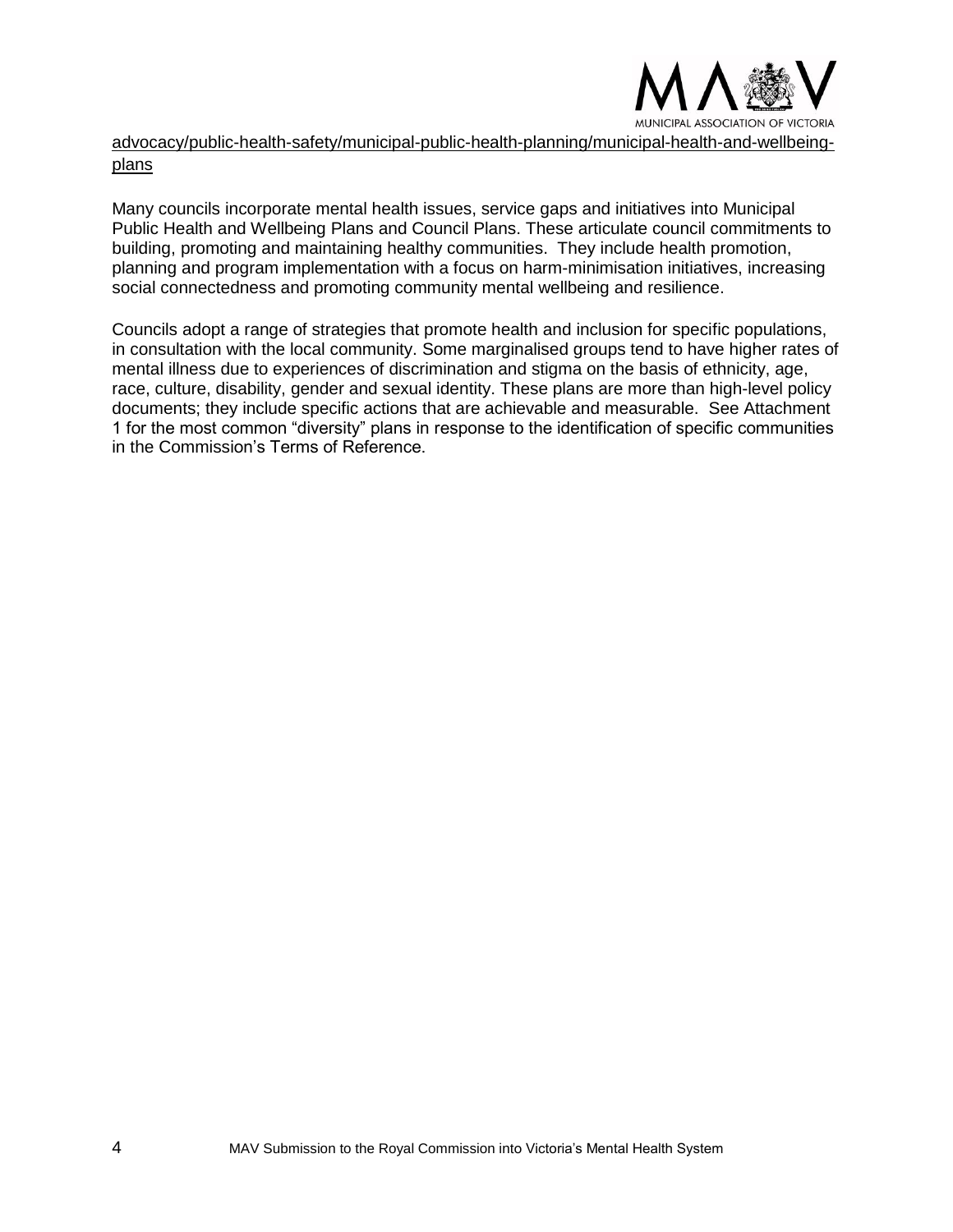

[advocacy/public-health-safety/municipal-public-health-planning/municipal-health-and-wellbeing](http://www.mav.asn.au/what-we-do/policy-advocacy/public-health-safety/municipal-public-health-planning/municipal-health-and-wellbeing-plans)[plans](http://www.mav.asn.au/what-we-do/policy-advocacy/public-health-safety/municipal-public-health-planning/municipal-health-and-wellbeing-plans)

Many councils incorporate mental health issues, service gaps and initiatives into Municipal Public Health and Wellbeing Plans and Council Plans. These articulate council commitments to building, promoting and maintaining healthy communities. They include health promotion, planning and program implementation with a focus on harm-minimisation initiatives, increasing social connectedness and promoting community mental wellbeing and resilience.

Councils adopt a range of strategies that promote health and inclusion for specific populations, in consultation with the local community. Some marginalised groups tend to have higher rates of mental illness due to experiences of discrimination and stigma on the basis of ethnicity, age, race, culture, disability, gender and sexual identity. These plans are more than high-level policy documents; they include specific actions that are achievable and measurable. See Attachment 1 for the most common "diversity" plans in response to the identification of specific communities in the Commission's Terms of Reference.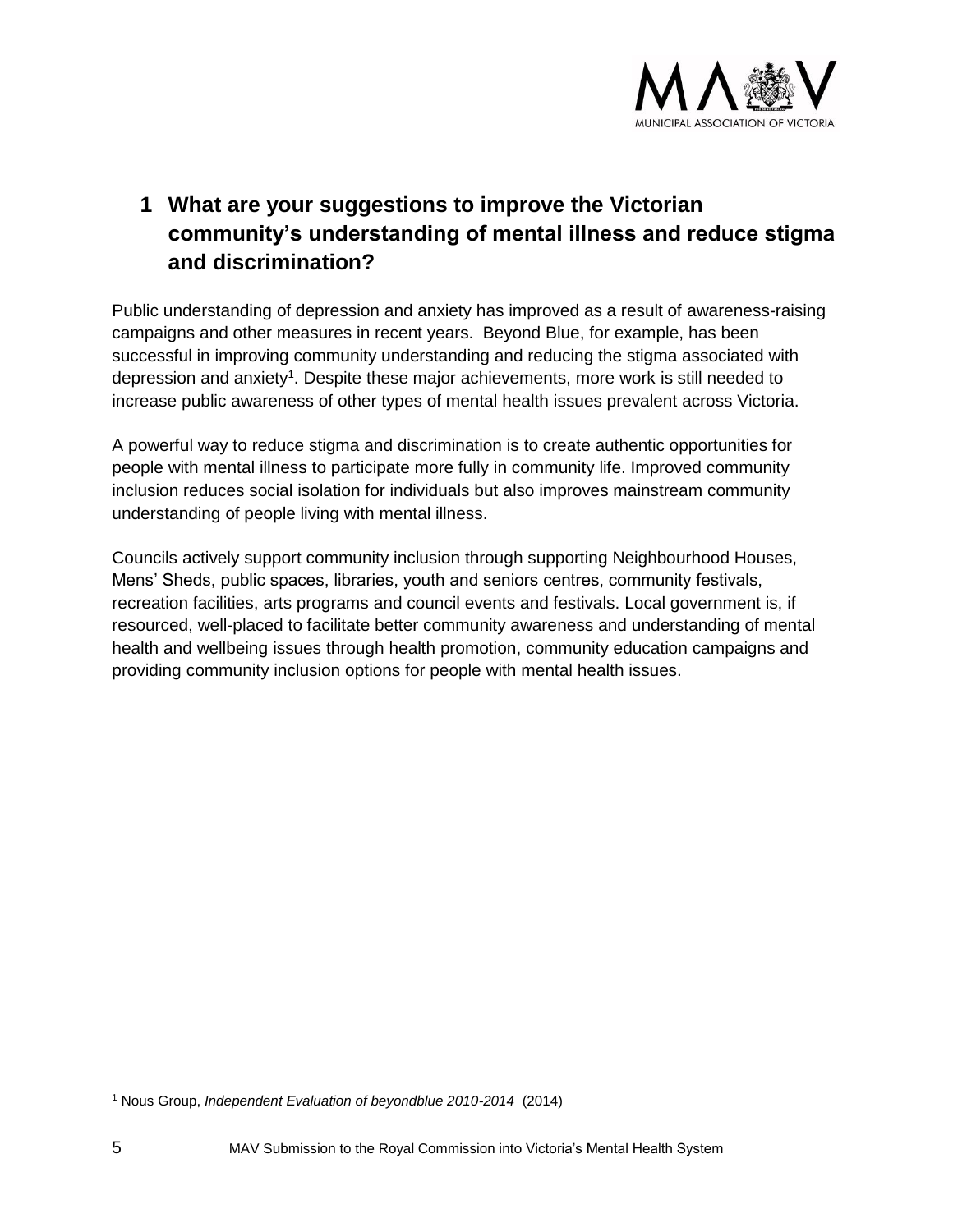

# **1 What are your suggestions to improve the Victorian community's understanding of mental illness and reduce stigma and discrimination?**

Public understanding of depression and anxiety has improved as a result of awareness-raising campaigns and other measures in recent years. Beyond Blue, for example, has been successful in improving community understanding and reducing the stigma associated with depression and anxiety<sup>1</sup>. Despite these major achievements, more work is still needed to increase public awareness of other types of mental health issues prevalent across Victoria.

A powerful way to reduce stigma and discrimination is to create authentic opportunities for people with mental illness to participate more fully in community life. Improved community inclusion reduces social isolation for individuals but also improves mainstream community understanding of people living with mental illness.

Councils actively support community inclusion through supporting Neighbourhood Houses, Mens' Sheds, public spaces, libraries, youth and seniors centres, community festivals, recreation facilities, arts programs and council events and festivals. Local government is, if resourced, well-placed to facilitate better community awareness and understanding of mental health and wellbeing issues through health promotion, community education campaigns and providing community inclusion options for people with mental health issues.

<sup>1</sup> Nous Group, *Independent Evaluation of beyondblue 2010-2014* (2014)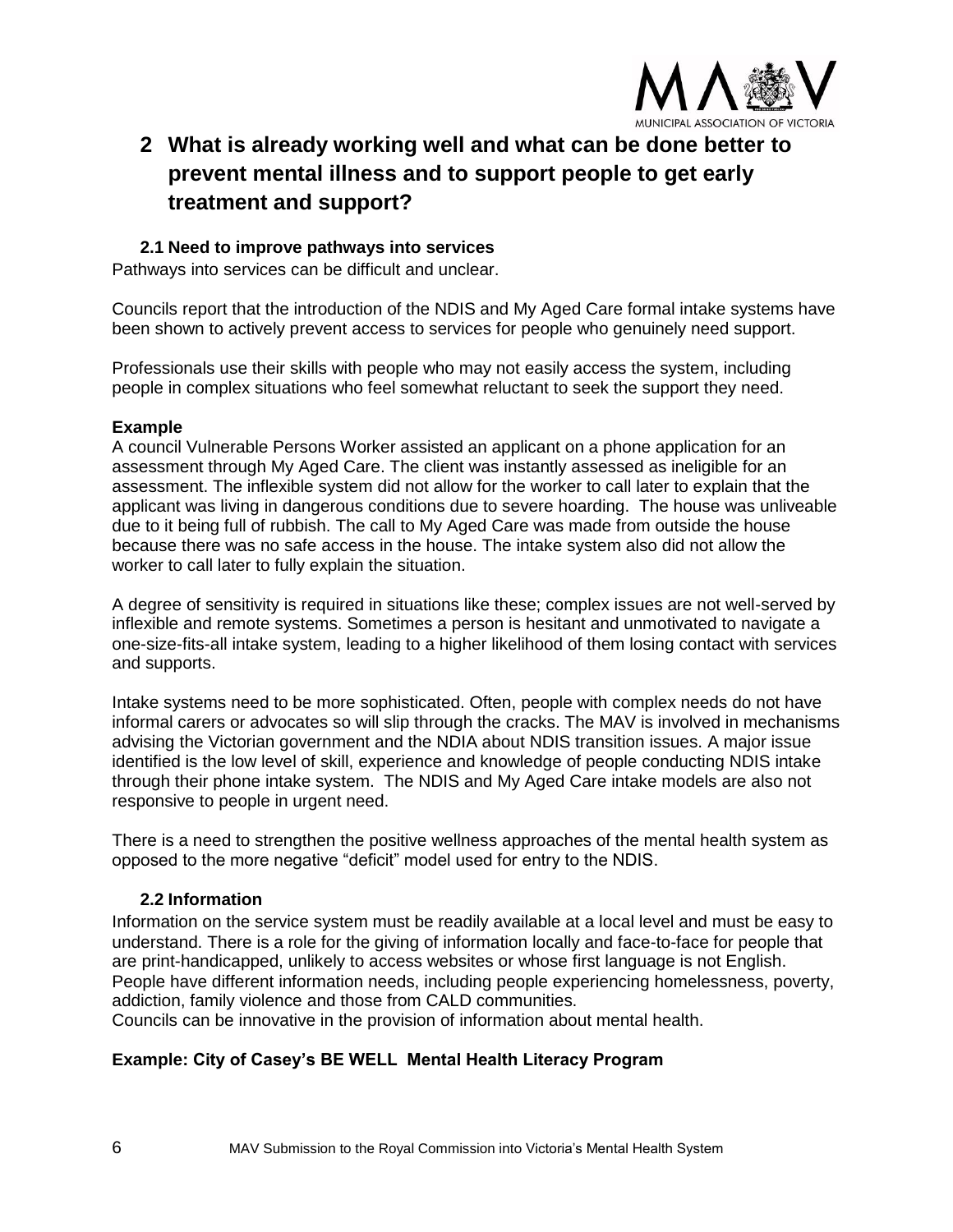

# **2 What is already working well and what can be done better to prevent mental illness and to support people to get early treatment and support?**

# **2.1 Need to improve pathways into services**

Pathways into services can be difficult and unclear.

Councils report that the introduction of the NDIS and My Aged Care formal intake systems have been shown to actively prevent access to services for people who genuinely need support.

Professionals use their skills with people who may not easily access the system, including people in complex situations who feel somewhat reluctant to seek the support they need.

# **Example**

A council Vulnerable Persons Worker assisted an applicant on a phone application for an assessment through My Aged Care. The client was instantly assessed as ineligible for an assessment. The inflexible system did not allow for the worker to call later to explain that the applicant was living in dangerous conditions due to severe hoarding. The house was unliveable due to it being full of rubbish. The call to My Aged Care was made from outside the house because there was no safe access in the house. The intake system also did not allow the worker to call later to fully explain the situation.

A degree of sensitivity is required in situations like these; complex issues are not well-served by inflexible and remote systems. Sometimes a person is hesitant and unmotivated to navigate a one-size-fits-all intake system, leading to a higher likelihood of them losing contact with services and supports.

Intake systems need to be more sophisticated. Often, people with complex needs do not have informal carers or advocates so will slip through the cracks. The MAV is involved in mechanisms advising the Victorian government and the NDIA about NDIS transition issues. A major issue identified is the low level of skill, experience and knowledge of people conducting NDIS intake through their phone intake system. The NDIS and My Aged Care intake models are also not responsive to people in urgent need.

There is a need to strengthen the positive wellness approaches of the mental health system as opposed to the more negative "deficit" model used for entry to the NDIS.

# **2.2 Information**

Information on the service system must be readily available at a local level and must be easy to understand. There is a role for the giving of information locally and face-to-face for people that are print-handicapped, unlikely to access websites or whose first language is not English. People have different information needs, including people experiencing homelessness, poverty, addiction, family violence and those from CALD communities.

Councils can be innovative in the provision of information about mental health.

# **Example: City of Casey's BE WELL Mental Health Literacy Program**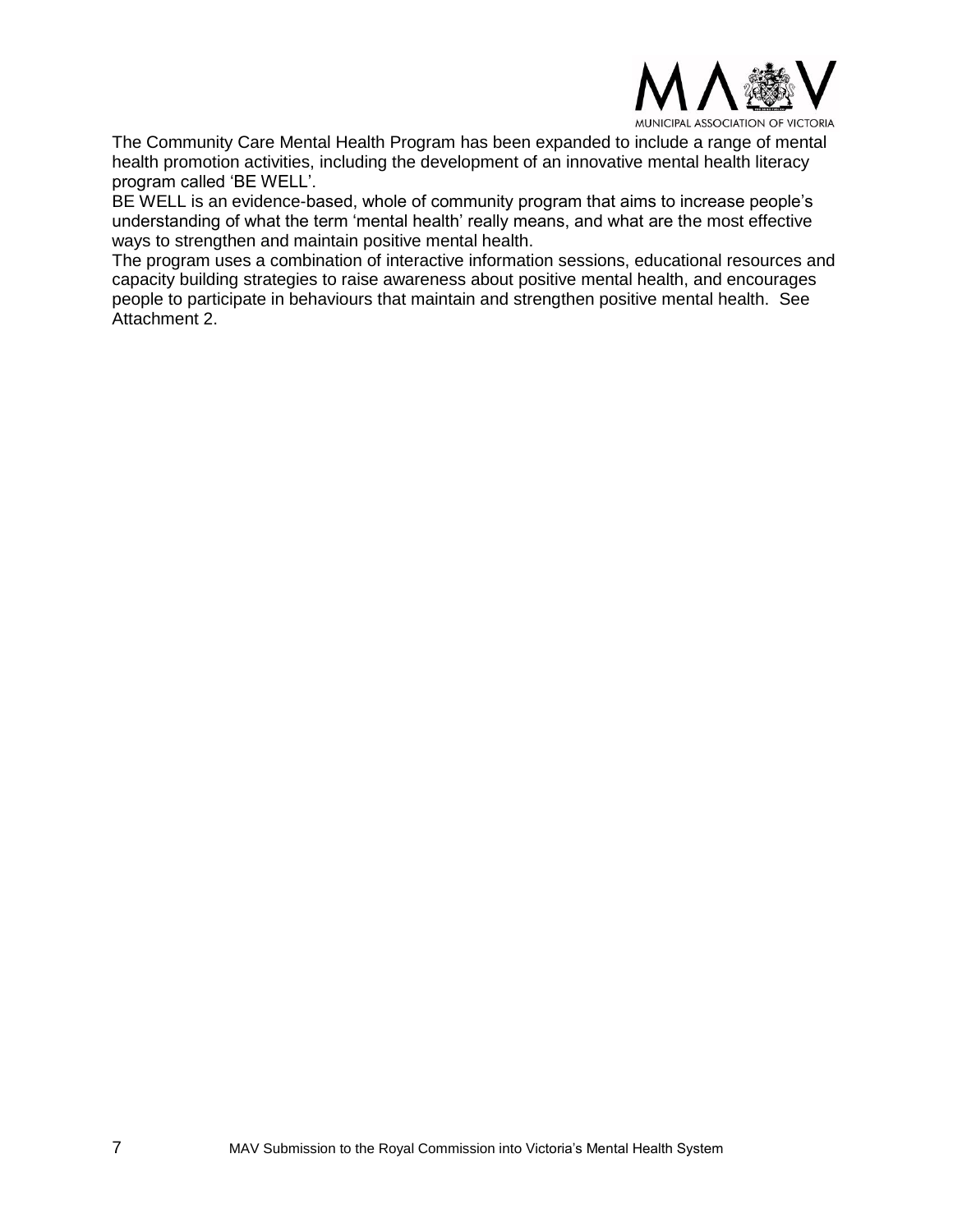

The Community Care Mental Health Program has been expanded to include a range of mental health promotion activities, including the development of an innovative mental health literacy program called 'BE WELL'.

BE WELL is an evidence-based, whole of community program that aims to increase people's understanding of what the term 'mental health' really means, and what are the most effective ways to strengthen and maintain positive mental health.

The program uses a combination of interactive information sessions, educational resources and capacity building strategies to raise awareness about positive mental health, and encourages people to participate in behaviours that maintain and strengthen positive mental health. See Attachment 2.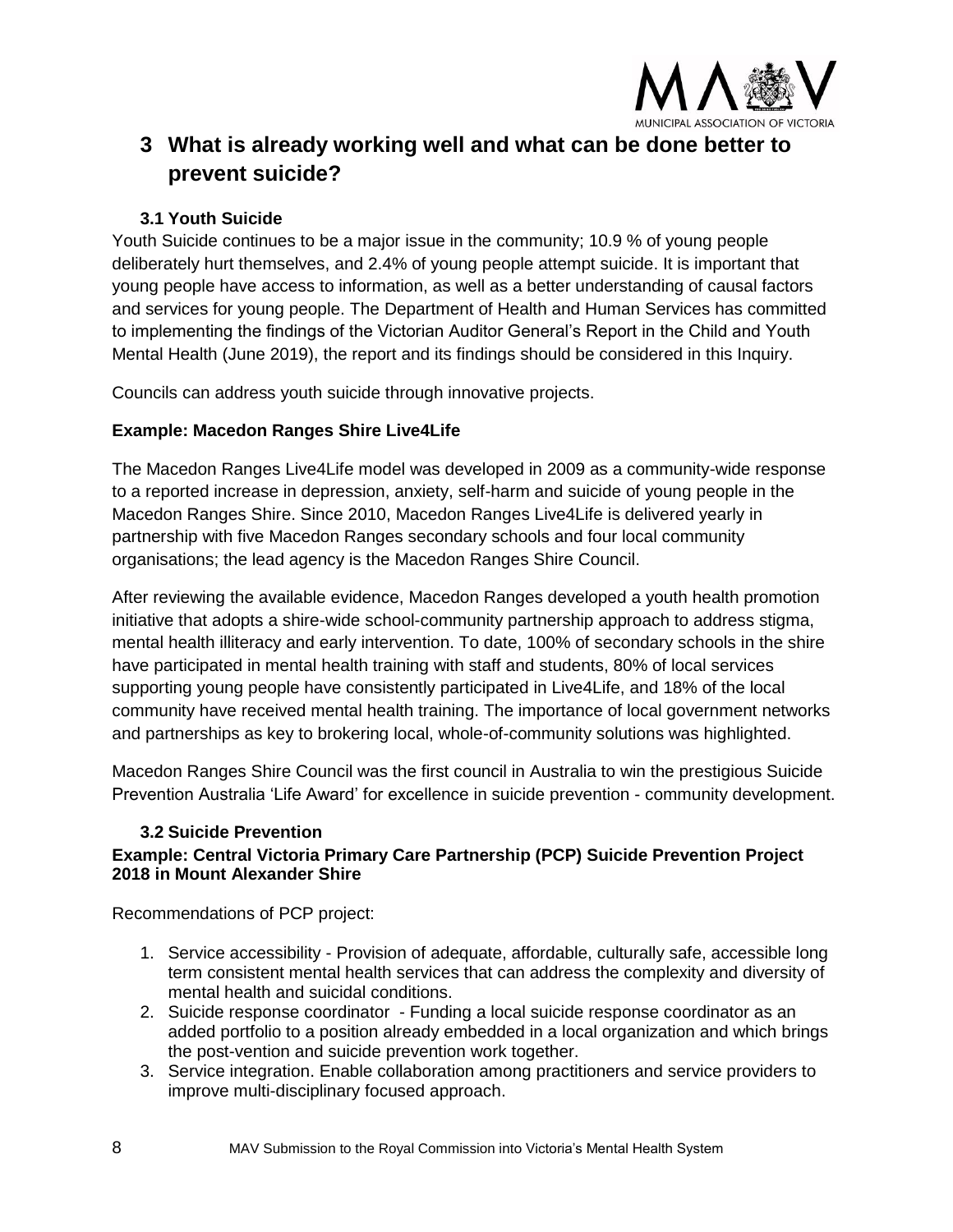

# **3 What is already working well and what can be done better to prevent suicide?**

# **3.1 Youth Suicide**

Youth Suicide continues to be a major issue in the community; 10.9 % of young people deliberately hurt themselves, and 2.4% of young people attempt suicide. It is important that young people have access to information, as well as a better understanding of causal factors and services for young people. The Department of Health and Human Services has committed to implementing the findings of the Victorian Auditor General's Report in the Child and Youth Mental Health (June 2019), the report and its findings should be considered in this Inquiry.

Councils can address youth suicide through innovative projects.

# **Example: Macedon Ranges Shire Live4Life**

The Macedon Ranges Live4Life model was developed in 2009 as a community-wide response to a reported increase in depression, anxiety, self-harm and suicide of young people in the Macedon Ranges Shire. Since 2010, Macedon Ranges Live4Life is delivered yearly in partnership with five Macedon Ranges secondary schools and four local community organisations; the lead agency is the Macedon Ranges Shire Council.

After reviewing the available evidence, Macedon Ranges developed a youth health promotion initiative that adopts a shire-wide school-community partnership approach to address stigma, mental health illiteracy and early intervention. To date, 100% of secondary schools in the shire have participated in mental health training with staff and students, 80% of local services supporting young people have consistently participated in Live4Life, and 18% of the local community have received mental health training. The importance of local government networks and partnerships as key to brokering local, whole-of-community solutions was highlighted.

Macedon Ranges Shire Council was the first council in Australia to win the prestigious Suicide Prevention Australia 'Life Award' for excellence in suicide prevention - community development.

# **3.2 Suicide Prevention**

# **Example: Central Victoria Primary Care Partnership (PCP) Suicide Prevention Project 2018 in Mount Alexander Shire**

Recommendations of PCP project:

- 1. Service accessibility Provision of adequate, affordable, culturally safe, accessible long term consistent mental health services that can address the complexity and diversity of mental health and suicidal conditions.
- 2. Suicide response coordinator Funding a local suicide response coordinator as an added portfolio to a position already embedded in a local organization and which brings the post-vention and suicide prevention work together.
- 3. Service integration. Enable collaboration among practitioners and service providers to improve multi-disciplinary focused approach.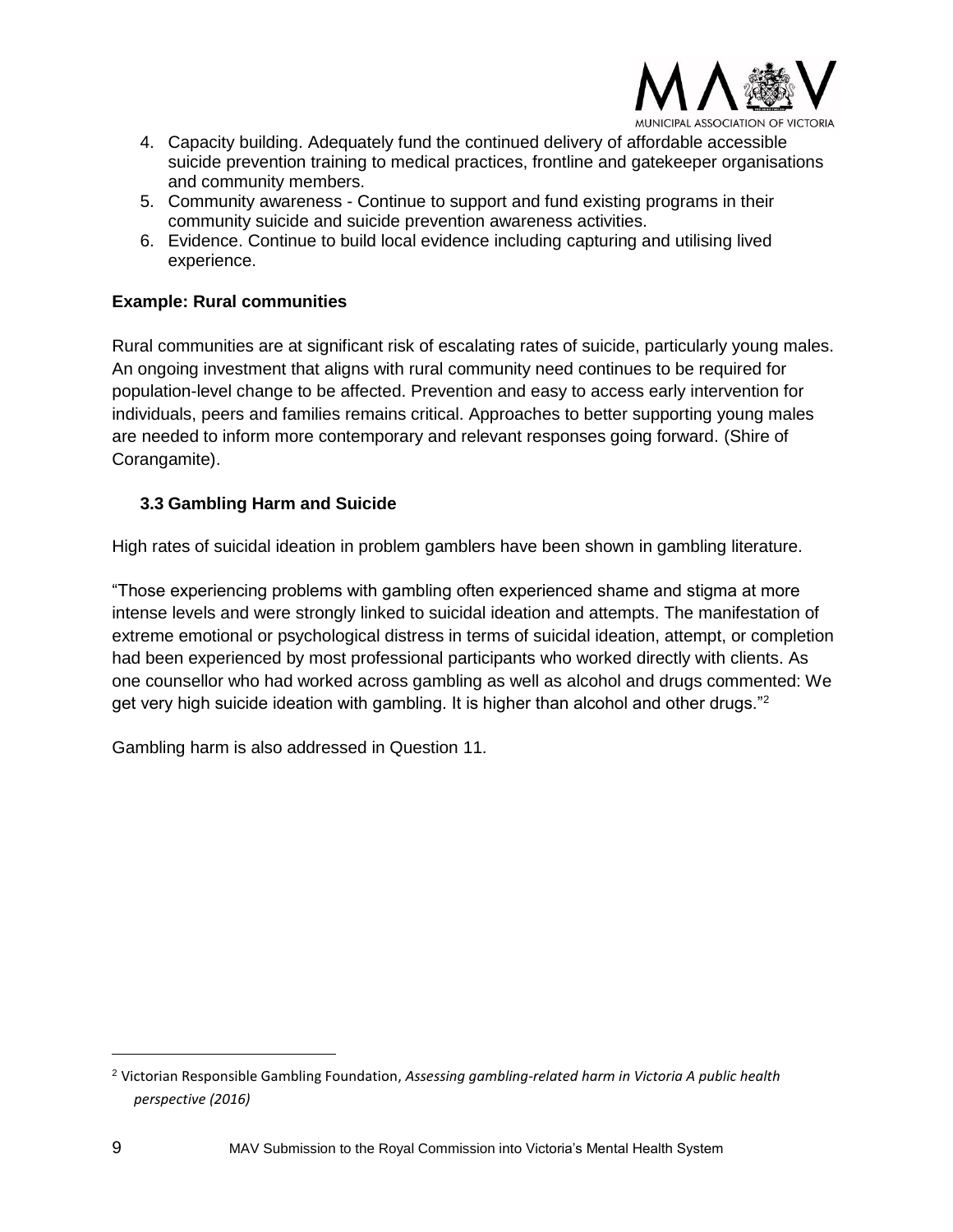

4. Capacity building. Adequately fund the continued delivery of affordable accessible suicide prevention training to medical practices, frontline and gatekeeper organisations and community members.

- 5. Community awareness Continue to support and fund existing programs in their community suicide and suicide prevention awareness activities.
- 6. Evidence. Continue to build local evidence including capturing and utilising lived experience.

# **Example: Rural communities**

Rural communities are at significant risk of escalating rates of suicide, particularly young males. An ongoing investment that aligns with rural community need continues to be required for population-level change to be affected. Prevention and easy to access early intervention for individuals, peers and families remains critical. Approaches to better supporting young males are needed to inform more contemporary and relevant responses going forward. (Shire of Corangamite).

# **3.3 Gambling Harm and Suicide**

High rates of suicidal ideation in problem gamblers have been shown in gambling literature.

"Those experiencing problems with gambling often experienced shame and stigma at more intense levels and were strongly linked to suicidal ideation and attempts. The manifestation of extreme emotional or psychological distress in terms of suicidal ideation, attempt, or completion had been experienced by most professional participants who worked directly with clients. As one counsellor who had worked across gambling as well as alcohol and drugs commented: We get very high suicide ideation with gambling. It is higher than alcohol and other drugs."<sup>2</sup>

Gambling harm is also addressed in Question 11.

<sup>2</sup> Victorian Responsible Gambling Foundation, *Assessing gambling-related harm in Victoria A public health perspective (2016)*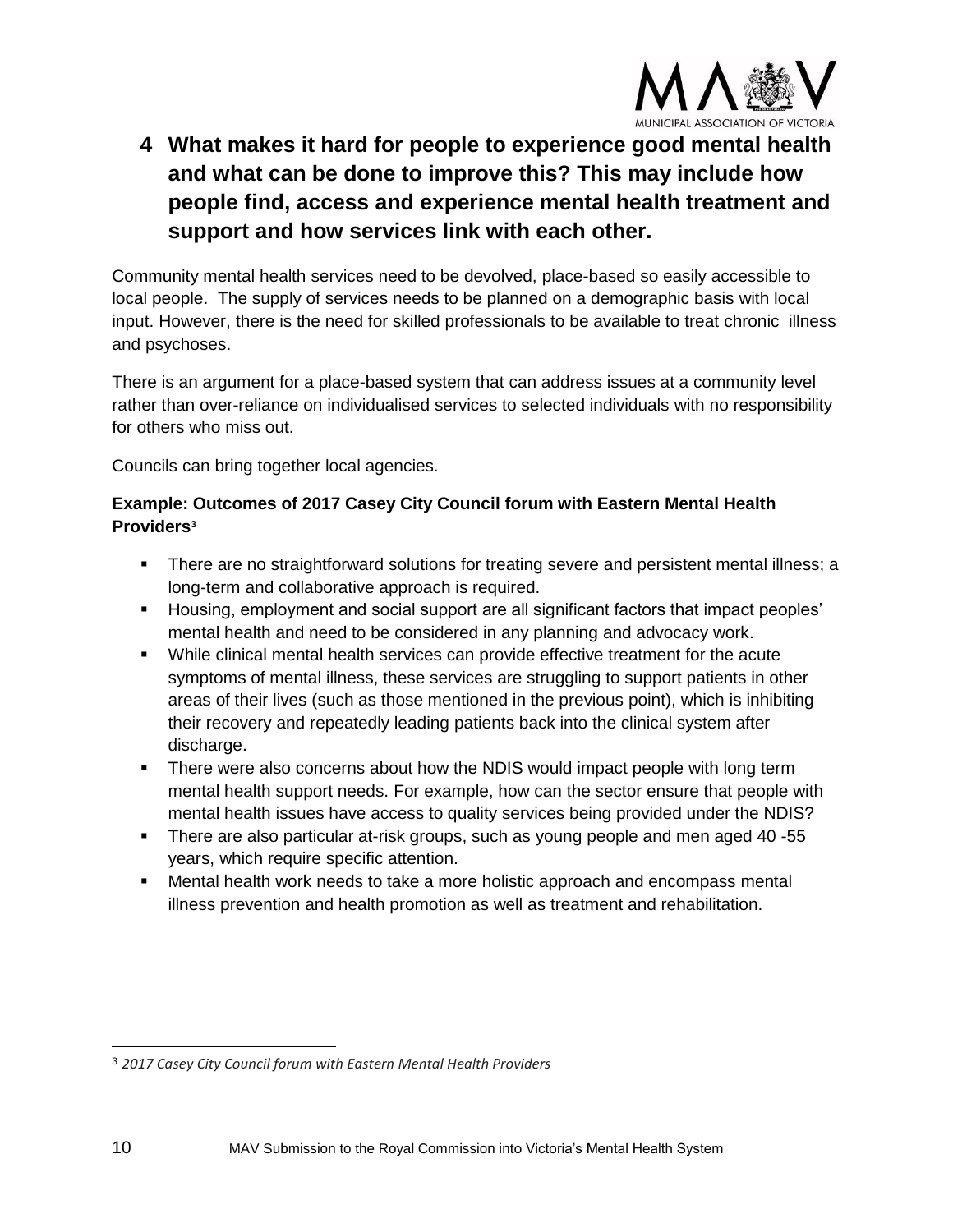

# **4 What makes it hard for people to experience good mental health and what can be done to improve this? This may include how people find, access and experience mental health treatment and support and how services link with each other.**

Community mental health services need to be devolved, place-based so easily accessible to local people. The supply of services needs to be planned on a demographic basis with local input. However, there is the need for skilled professionals to be available to treat chronic illness and psychoses.

There is an argument for a place-based system that can address issues at a community level rather than over-reliance on individualised services to selected individuals with no responsibility for others who miss out.

Councils can bring together local agencies.

# **Example: Outcomes of 2017 Casey City Council forum with Eastern Mental Health Providers<sup>3</sup>**

- **There are no straightforward solutions for treating severe and persistent mental illness; a** long-term and collaborative approach is required.
- Housing, employment and social support are all significant factors that impact peoples' mental health and need to be considered in any planning and advocacy work.
- While clinical mental health services can provide effective treatment for the acute symptoms of mental illness, these services are struggling to support patients in other areas of their lives (such as those mentioned in the previous point), which is inhibiting their recovery and repeatedly leading patients back into the clinical system after discharge.
- **•** There were also concerns about how the NDIS would impact people with long term mental health support needs. For example, how can the sector ensure that people with mental health issues have access to quality services being provided under the NDIS?
- There are also particular at-risk groups, such as young people and men aged 40 -55 years, which require specific attention.
- **■** Mental health work needs to take a more holistic approach and encompass mental illness prevention and health promotion as well as treatment and rehabilitation.

<sup>3</sup> *2017 Casey City Council forum with Eastern Mental Health Providers*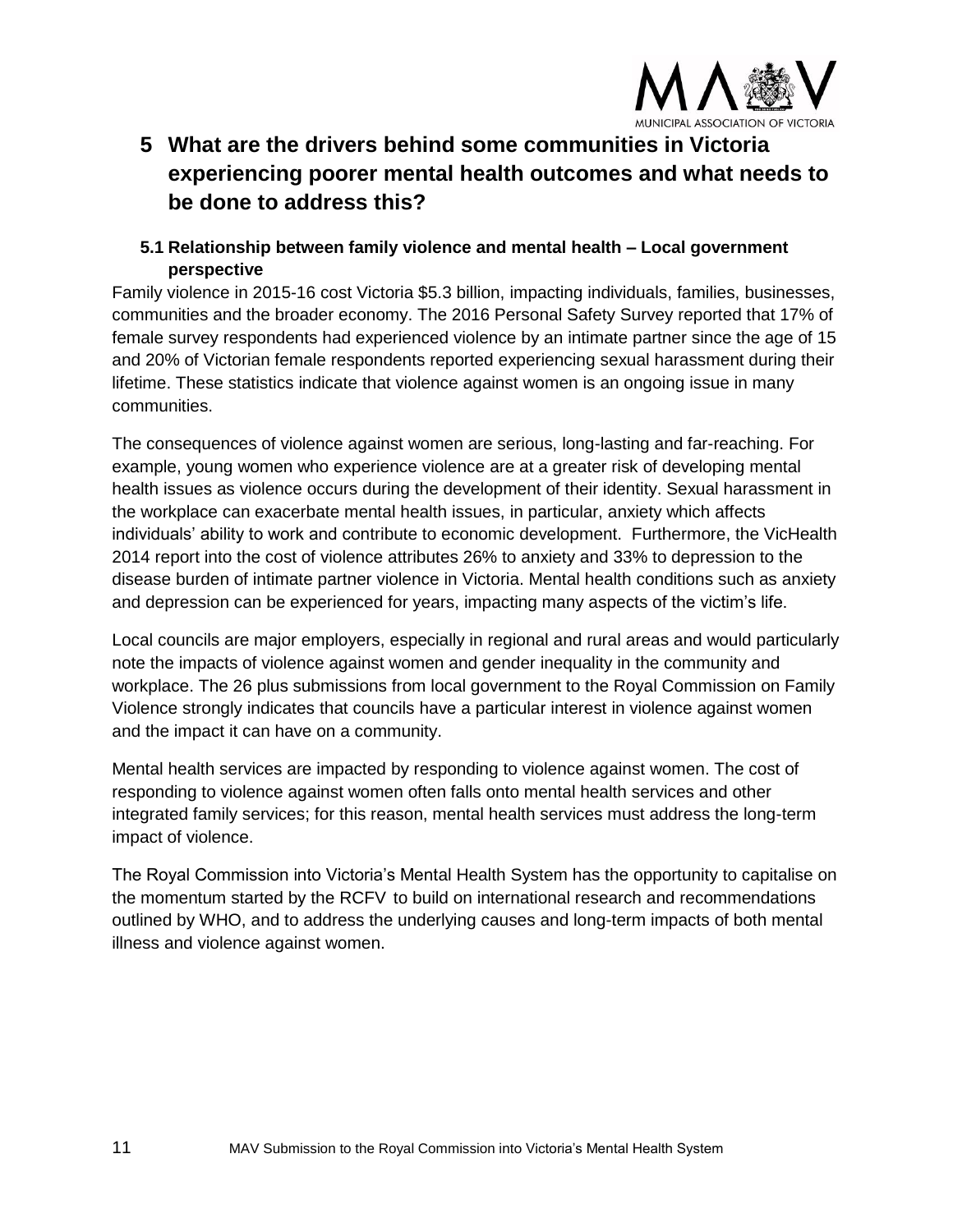

# **5 What are the drivers behind some communities in Victoria experiencing poorer mental health outcomes and what needs to be done to address this?**

# **5.1 Relationship between family violence and mental health – Local government perspective**

Family violence in 2015-16 cost Victoria \$5.3 billion, impacting individuals, families, businesses, communities and the broader economy. The 2016 Personal Safety Survey reported that 17% of female survey respondents had experienced violence by an intimate partner since the age of 15 and 20% of Victorian female respondents reported experiencing sexual harassment during their lifetime. These statistics indicate that violence against women is an ongoing issue in many communities.

The consequences of violence against women are serious, long-lasting and far-reaching. For example, young women who experience violence are at a greater risk of developing mental health issues as violence occurs during the development of their identity. Sexual harassment in the workplace can exacerbate mental health issues, in particular, anxiety which affects individuals' ability to work and contribute to economic development. Furthermore, the VicHealth 2014 report into the cost of violence attributes 26% to anxiety and 33% to depression to the disease burden of intimate partner violence in Victoria. Mental health conditions such as anxiety and depression can be experienced for years, impacting many aspects of the victim's life.

Local councils are major employers, especially in regional and rural areas and would particularly note the impacts of violence against women and gender inequality in the community and workplace. The 26 plus submissions from local government to the Royal Commission on Family Violence strongly indicates that councils have a particular interest in violence against women and the impact it can have on a community.

Mental health services are impacted by responding to violence against women. The cost of responding to violence against women often falls onto mental health services and other integrated family services; for this reason, mental health services must address the long-term impact of violence.

The Royal Commission into Victoria's Mental Health System has the opportunity to capitalise on the momentum started by the RCFV to build on international research and recommendations outlined by WHO, and to address the underlying causes and long-term impacts of both mental illness and violence against women.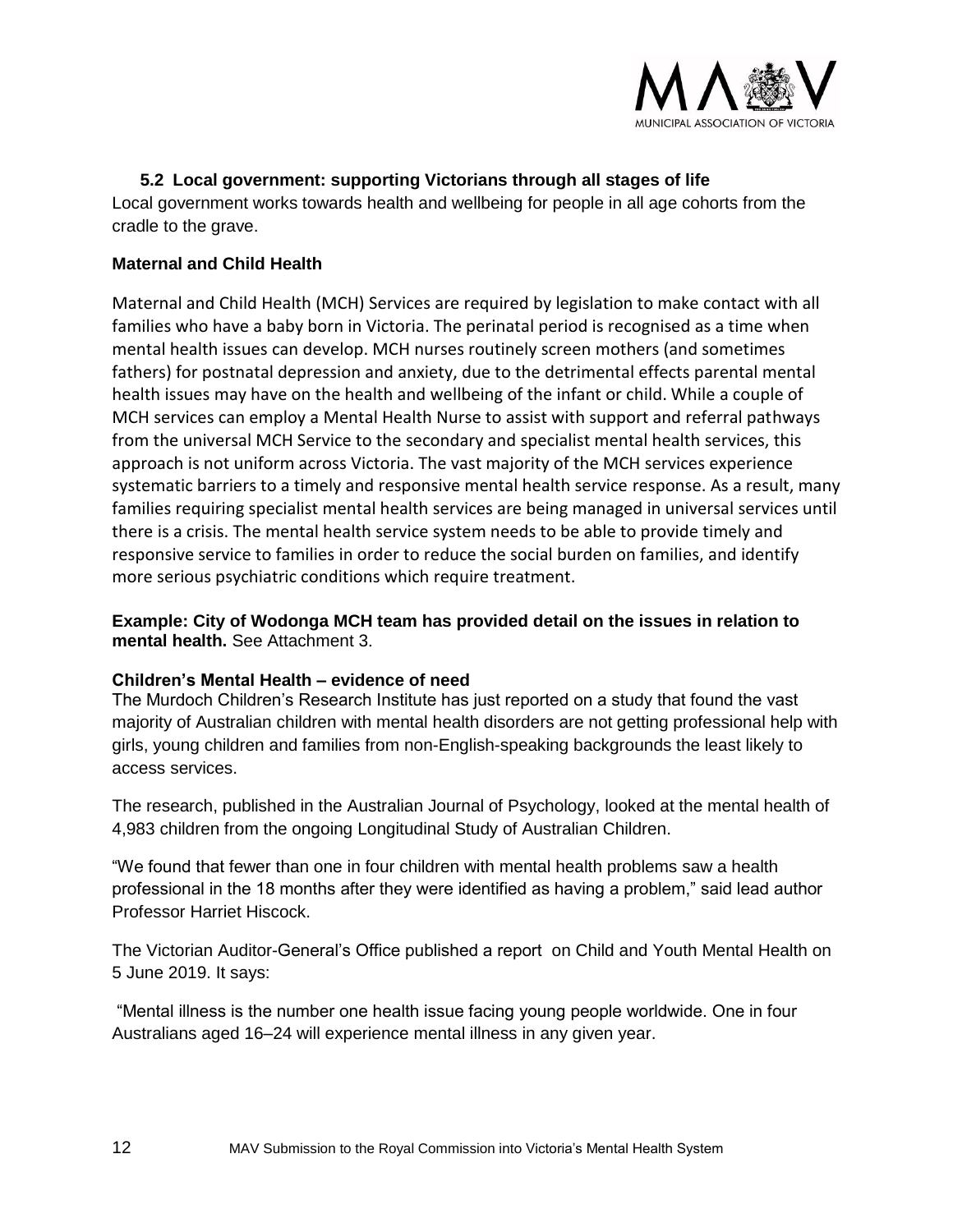

# **5.2 Local government: supporting Victorians through all stages of life**

Local government works towards health and wellbeing for people in all age cohorts from the cradle to the grave.

#### **Maternal and Child Health**

Maternal and Child Health (MCH) Services are required by legislation to make contact with all families who have a baby born in Victoria. The perinatal period is recognised as a time when mental health issues can develop. MCH nurses routinely screen mothers (and sometimes fathers) for postnatal depression and anxiety, due to the detrimental effects parental mental health issues may have on the health and wellbeing of the infant or child. While a couple of MCH services can employ a Mental Health Nurse to assist with support and referral pathways from the universal MCH Service to the secondary and specialist mental health services, this approach is not uniform across Victoria. The vast majority of the MCH services experience systematic barriers to a timely and responsive mental health service response. As a result, many families requiring specialist mental health services are being managed in universal services until there is a crisis. The mental health service system needs to be able to provide timely and responsive service to families in order to reduce the social burden on families, and identify more serious psychiatric conditions which require treatment.

**Example: City of Wodonga MCH team has provided detail on the issues in relation to mental health.** See Attachment 3.

#### **Children's Mental Health – evidence of need**

The Murdoch Children's Research Institute has just reported on a study that found the vast majority of Australian children with mental health disorders are not getting professional help with girls, young children and families from non-English-speaking backgrounds the least likely to access services.

The research, published in the Australian Journal of Psychology, looked at the mental health of 4,983 children from the ongoing Longitudinal Study of Australian Children.

"We found that fewer than one in four children with mental health problems saw a health professional in the 18 months after they were identified as having a problem," said lead author Professor Harriet Hiscock.

The Victorian Auditor-General's Office published a report on Child and Youth Mental Health on 5 June 2019. It says:

"Mental illness is the number one health issue facing young people worldwide. One in four Australians aged 16–24 will experience mental illness in any given year.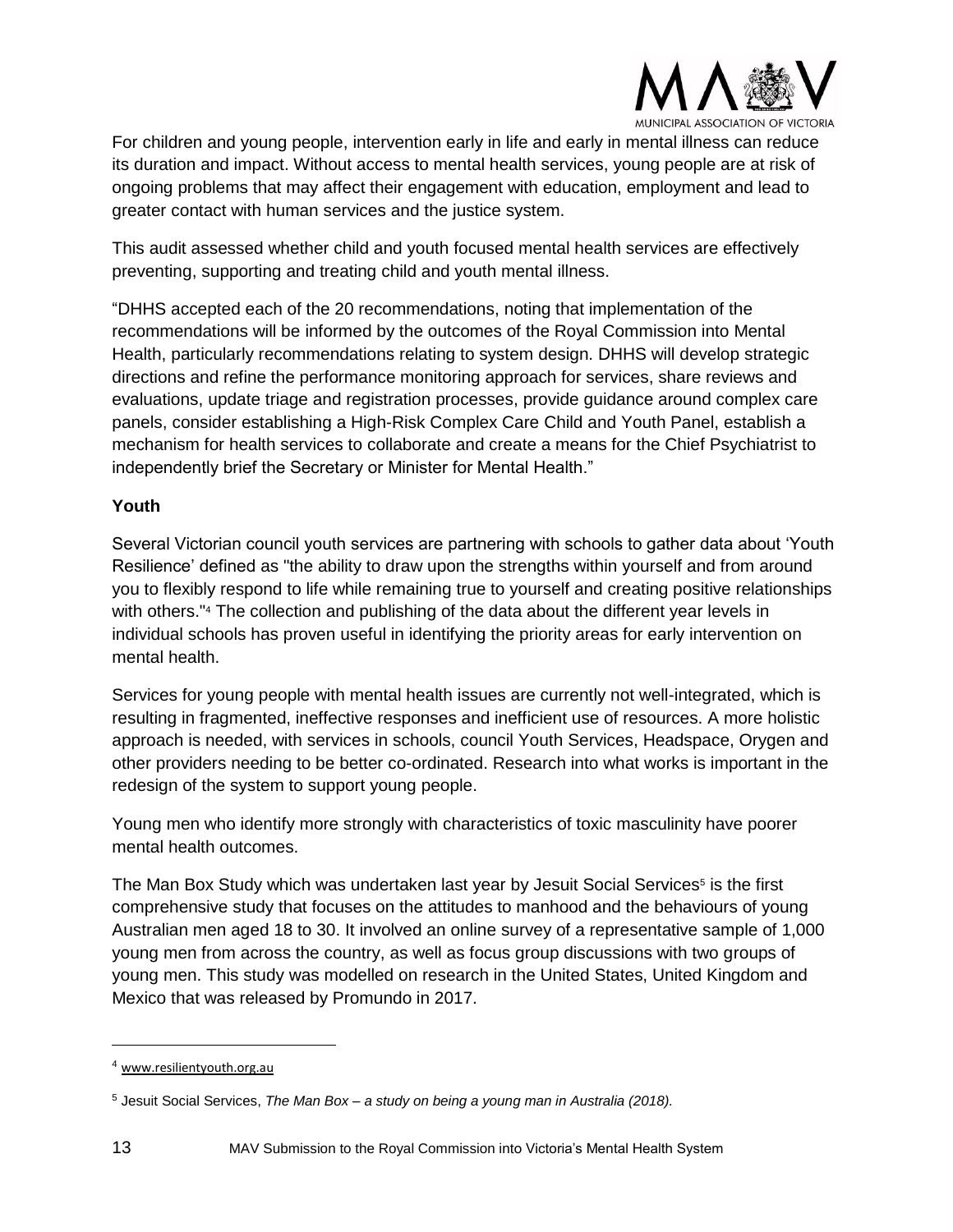

For children and young people, intervention early in life and early in mental illness can reduce its duration and impact. Without access to mental health services, young people are at risk of ongoing problems that may affect their engagement with education, employment and lead to greater contact with human services and the justice system.

This audit assessed whether child and youth focused mental health services are effectively preventing, supporting and treating child and youth mental illness.

"DHHS accepted each of the 20 recommendations, noting that implementation of the recommendations will be informed by the outcomes of the Royal Commission into Mental Health, particularly recommendations relating to system design. DHHS will develop strategic directions and refine the performance monitoring approach for services, share reviews and evaluations, update triage and registration processes, provide guidance around complex care panels, consider establishing a High-Risk Complex Care Child and Youth Panel, establish a mechanism for health services to collaborate and create a means for the Chief Psychiatrist to independently brief the Secretary or Minister for Mental Health."

# **Youth**

Several Victorian council youth services are partnering with schools to gather data about 'Youth Resilience' defined as "the ability to draw upon the strengths within yourself and from around you to flexibly respond to life while remaining true to yourself and creating positive relationships with others."<sup>4</sup> The collection and publishing of the data about the different year levels in individual schools has proven useful in identifying the priority areas for early intervention on mental health.

Services for young people with mental health issues are currently not well-integrated, which is resulting in fragmented, ineffective responses and inefficient use of resources. A more holistic approach is needed, with services in schools, council Youth Services, Headspace, Orygen and other providers needing to be better co-ordinated. Research into what works is important in the redesign of the system to support young people.

Young men who identify more strongly with characteristics of toxic masculinity have poorer mental health outcomes.

The Man Box Study which was undertaken last year by Jesuit Social Services<sup>5</sup> is the first comprehensive study that focuses on the attitudes to manhood and the behaviours of young Australian men aged 18 to 30. It involved an online survey of a representative sample of 1,000 young men from across the country, as well as focus group discussions with two groups of young men. This study was modelled on research in the United States, United Kingdom and Mexico that was released by Promundo in 2017.

<sup>4</sup> [www.resilientyouth.org.au](http://www.resilientyouth.org.au/)

<sup>5</sup> Jesuit Social Services, *The Man Box – a study on being a young man in Australia (2018).*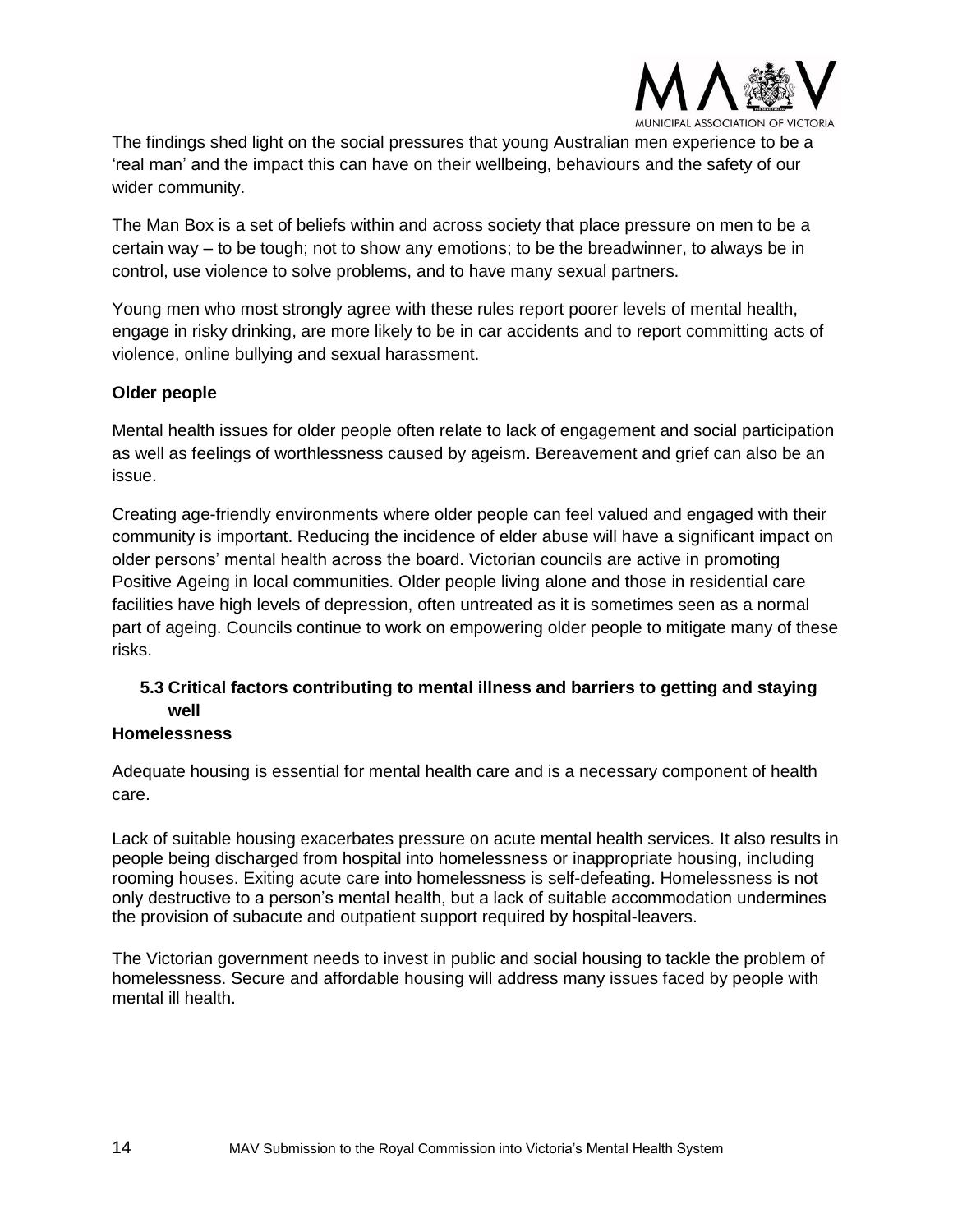

The findings shed light on the social pressures that young Australian men experience to be a 'real man' and the impact this can have on their wellbeing, behaviours and the safety of our wider community.

The Man Box is a set of beliefs within and across society that place pressure on men to be a certain way – to be tough; not to show any emotions; to be the breadwinner, to always be in control, use violence to solve problems, and to have many sexual partners.

Young men who most strongly agree with these rules report poorer levels of mental health, engage in risky drinking, are more likely to be in car accidents and to report committing acts of violence, online bullying and sexual harassment.

# **Older people**

Mental health issues for older people often relate to lack of engagement and social participation as well as feelings of worthlessness caused by ageism. Bereavement and grief can also be an issue.

Creating age-friendly environments where older people can feel valued and engaged with their community is important. Reducing the incidence of elder abuse will have a significant impact on older persons' mental health across the board. Victorian councils are active in promoting Positive Ageing in local communities. Older people living alone and those in residential care facilities have high levels of depression, often untreated as it is sometimes seen as a normal part of ageing. Councils continue to work on empowering older people to mitigate many of these risks.

# **5.3 Critical factors contributing to mental illness and barriers to getting and staying well**

#### **Homelessness**

Adequate housing is essential for mental health care and is a necessary component of health care.

Lack of suitable housing exacerbates pressure on acute mental health services. It also results in people being discharged from hospital into homelessness or inappropriate housing, including rooming houses. Exiting acute care into homelessness is self-defeating. Homelessness is not only destructive to a person's mental health, but a lack of suitable accommodation undermines the provision of subacute and outpatient support required by hospital-leavers.

The Victorian government needs to invest in public and social housing to tackle the problem of homelessness. Secure and affordable housing will address many issues faced by people with mental ill health.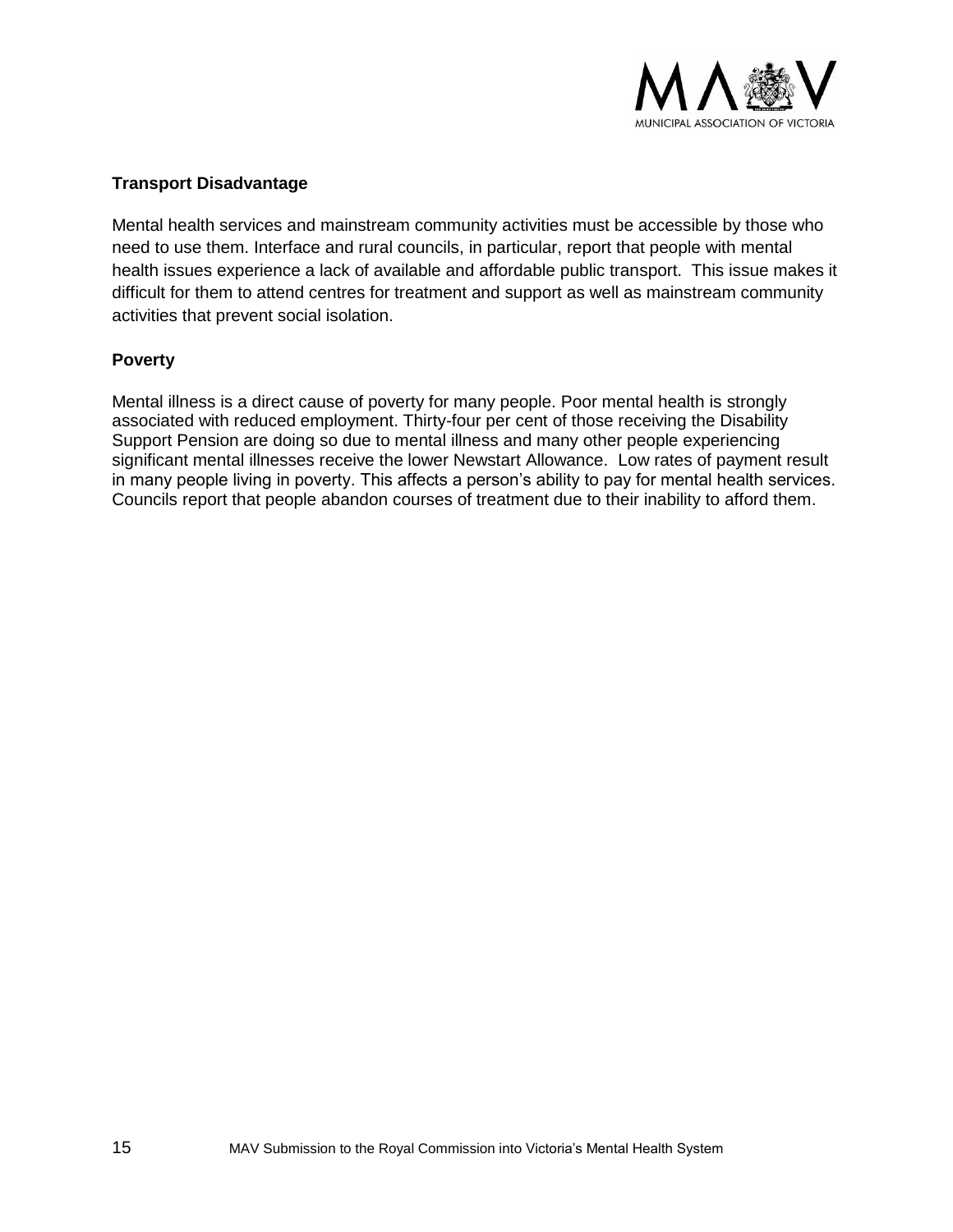

# **Transport Disadvantage**

Mental health services and mainstream community activities must be accessible by those who need to use them. Interface and rural councils, in particular, report that people with mental health issues experience a lack of available and affordable public transport. This issue makes it difficult for them to attend centres for treatment and support as well as mainstream community activities that prevent social isolation.

# **Poverty**

Mental illness is a direct cause of poverty for many people. Poor mental health is strongly associated with reduced employment. Thirty-four per cent of those receiving the Disability Support Pension are doing so due to mental illness and many other people experiencing significant mental illnesses receive the lower Newstart Allowance. Low rates of payment result in many people living in poverty. This affects a person's ability to pay for mental health services. Councils report that people abandon courses of treatment due to their inability to afford them.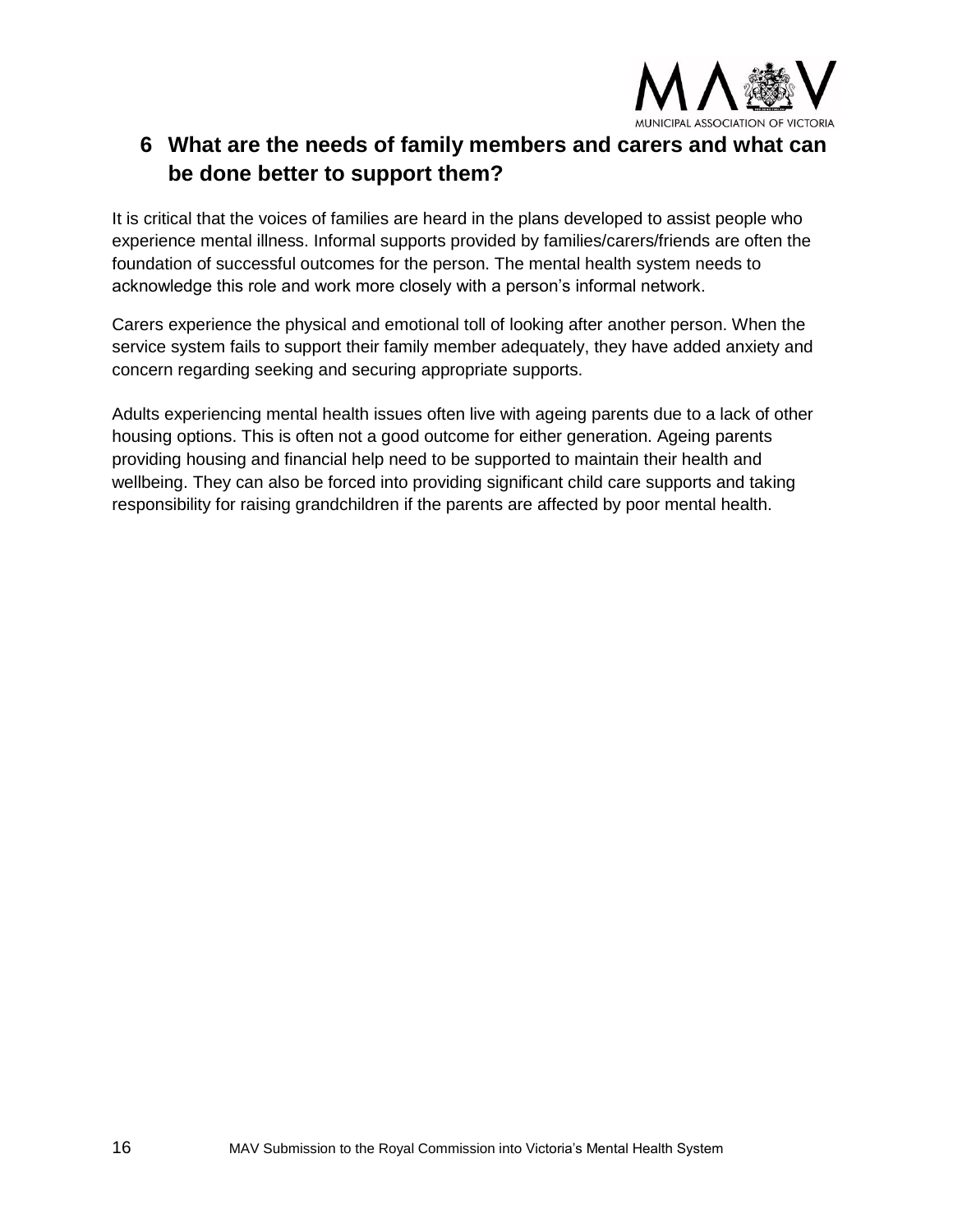

# **6 What are the needs of family members and carers and what can be done better to support them?**

It is critical that the voices of families are heard in the plans developed to assist people who experience mental illness. Informal supports provided by families/carers/friends are often the foundation of successful outcomes for the person. The mental health system needs to acknowledge this role and work more closely with a person's informal network.

Carers experience the physical and emotional toll of looking after another person. When the service system fails to support their family member adequately, they have added anxiety and concern regarding seeking and securing appropriate supports.

Adults experiencing mental health issues often live with ageing parents due to a lack of other housing options. This is often not a good outcome for either generation. Ageing parents providing housing and financial help need to be supported to maintain their health and wellbeing. They can also be forced into providing significant child care supports and taking responsibility for raising grandchildren if the parents are affected by poor mental health.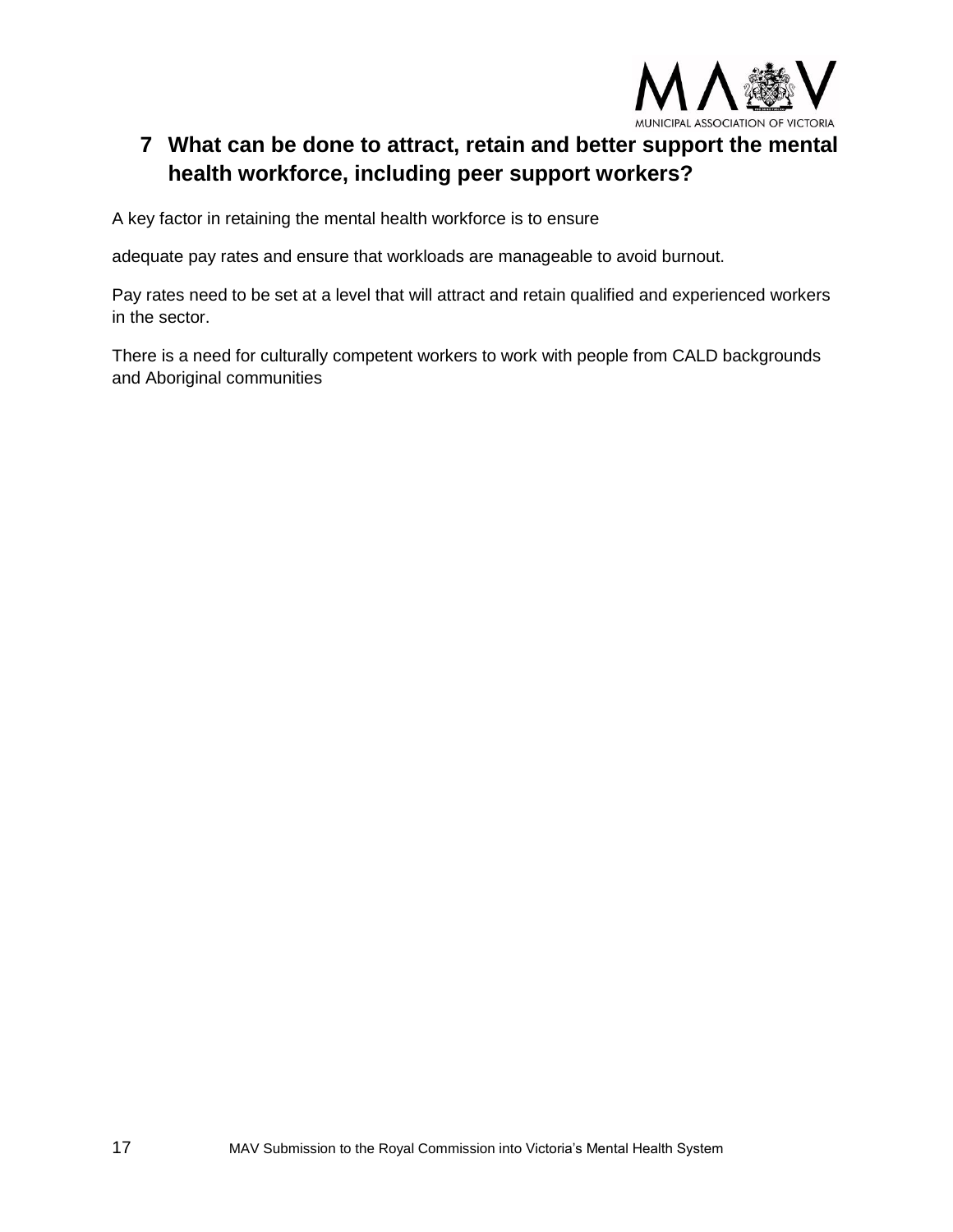

# **7 What can be done to attract, retain and better support the mental health workforce, including peer support workers?**

A key factor in retaining the mental health workforce is to ensure

adequate pay rates and ensure that workloads are manageable to avoid burnout.

Pay rates need to be set at a level that will attract and retain qualified and experienced workers in the sector.

There is a need for culturally competent workers to work with people from CALD backgrounds and Aboriginal communities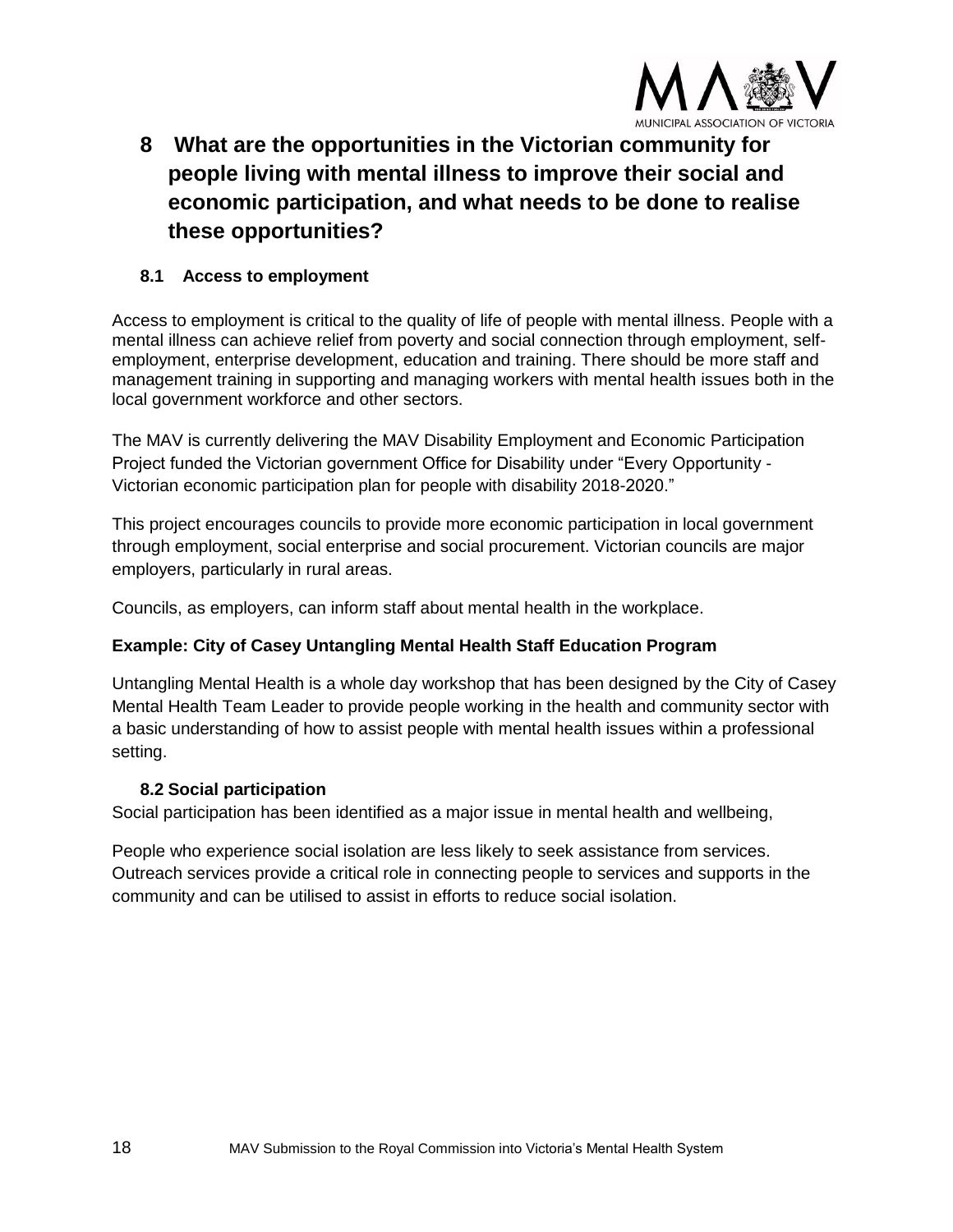

**8 What are the opportunities in the Victorian community for people living with mental illness to improve their social and economic participation, and what needs to be done to realise these opportunities?** 

# **8.1 Access to employment**

Access to employment is critical to the quality of life of people with mental illness. People with a mental illness can achieve relief from poverty and social connection through employment, selfemployment, enterprise development, education and training. There should be more staff and management training in supporting and managing workers with mental health issues both in the local government workforce and other sectors.

The MAV is currently delivering the MAV Disability Employment and Economic Participation Project funded the Victorian government Office for Disability under "Every Opportunity - Victorian economic participation plan for people with disability 2018-2020."

This project encourages councils to provide more economic participation in local government through employment, social enterprise and social procurement. Victorian councils are major employers, particularly in rural areas.

Councils, as employers, can inform staff about mental health in the workplace.

# **Example: City of Casey Untangling Mental Health Staff Education Program**

Untangling Mental Health is a whole day workshop that has been designed by the City of Casey Mental Health Team Leader to provide people working in the health and community sector with a basic understanding of how to assist people with mental health issues within a professional setting.

# **8.2 Social participation**

Social participation has been identified as a major issue in mental health and wellbeing,

People who experience social isolation are less likely to seek assistance from services. Outreach services provide a critical role in connecting people to services and supports in the community and can be utilised to assist in efforts to reduce social isolation.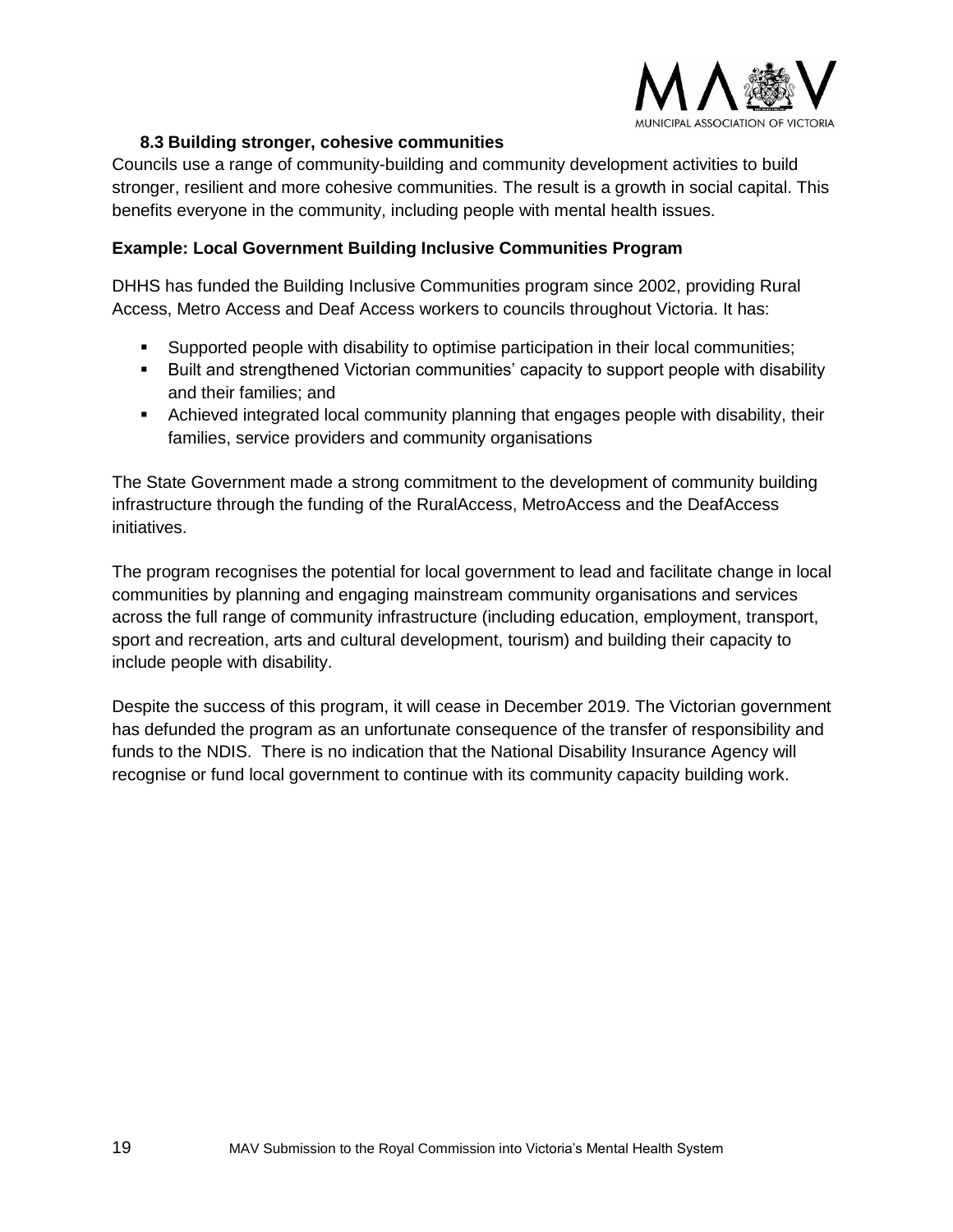

# **8.3 Building stronger, cohesive communities**

Councils use a range of community-building and community development activities to build stronger, resilient and more cohesive communities. The result is a growth in social capital. This benefits everyone in the community, including people with mental health issues.

# **Example: Local Government Building Inclusive Communities Program**

DHHS has funded the Building Inclusive Communities program since 2002, providing Rural Access, Metro Access and Deaf Access workers to councils throughout Victoria. It has:

- Supported people with disability to optimise participation in their local communities;
- Built and strengthened Victorian communities' capacity to support people with disability and their families; and
- **E** Achieved integrated local community planning that engages people with disability, their families, service providers and community organisations

The State Government made a strong commitment to the development of community building infrastructure through the funding of the RuralAccess, MetroAccess and the DeafAccess initiatives.

The program recognises the potential for local government to lead and facilitate change in local communities by planning and engaging mainstream community organisations and services across the full range of community infrastructure (including education, employment, transport, sport and recreation, arts and cultural development, tourism) and building their capacity to include people with disability.

Despite the success of this program, it will cease in December 2019. The Victorian government has defunded the program as an unfortunate consequence of the transfer of responsibility and funds to the NDIS. There is no indication that the National Disability Insurance Agency will recognise or fund local government to continue with its community capacity building work.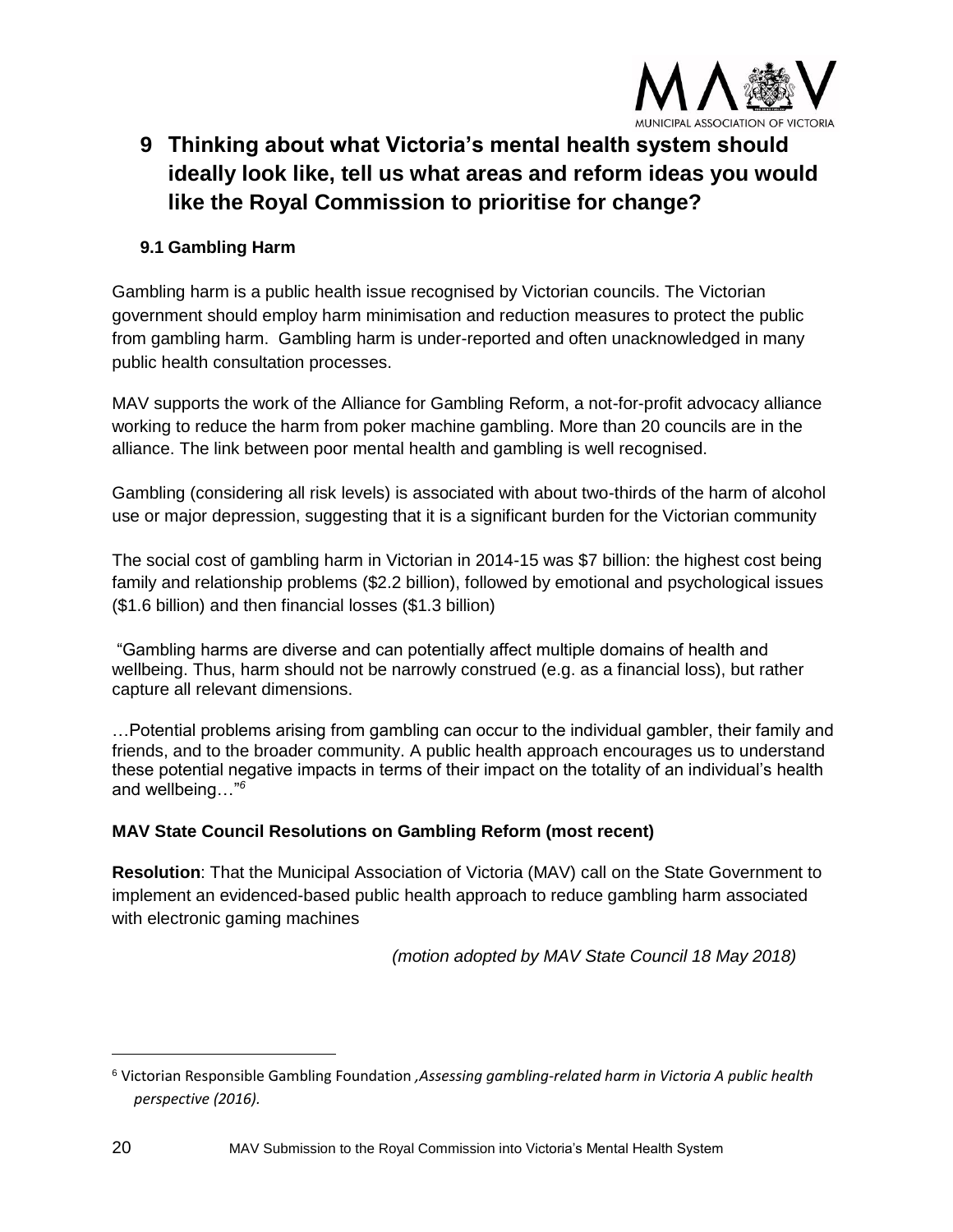

# **9 Thinking about what Victoria's mental health system should ideally look like, tell us what areas and reform ideas you would like the Royal Commission to prioritise for change?**

# **9.1 Gambling Harm**

Gambling harm is a public health issue recognised by Victorian councils. The Victorian government should employ harm minimisation and reduction measures to protect the public from gambling harm. Gambling harm is under-reported and often unacknowledged in many public health consultation processes.

MAV supports the work of the Alliance for Gambling Reform, a not-for-profit advocacy alliance working to reduce the harm from poker machine gambling. More than 20 councils are in the alliance. The link between poor mental health and gambling is well recognised.

Gambling (considering all risk levels) is associated with about two-thirds of the harm of alcohol use or major depression, suggesting that it is a significant burden for the Victorian community

The social cost of gambling harm in Victorian in 2014-15 was \$7 billion: the highest cost being family and relationship problems (\$2.2 billion), followed by emotional and psychological issues (\$1.6 billion) and then financial losses (\$1.3 billion)

"Gambling harms are diverse and can potentially affect multiple domains of health and wellbeing. Thus, harm should not be narrowly construed (e.g. as a financial loss), but rather capture all relevant dimensions.

…Potential problems arising from gambling can occur to the individual gambler, their family and friends, and to the broader community. A public health approach encourages us to understand these potential negative impacts in terms of their impact on the totality of an individual's health and wellbeing…"*<sup>6</sup>*

# **MAV State Council Resolutions on Gambling Reform (most recent)**

**Resolution**: That the Municipal Association of Victoria (MAV) call on the State Government to implement an evidenced-based public health approach to reduce gambling harm associated with electronic gaming machines

*(motion adopted by MAV State Council 18 May 2018)*

<sup>6</sup> Victorian Responsible Gambling Foundation *,Assessing gambling-related harm in Victoria A public health perspective (2016).*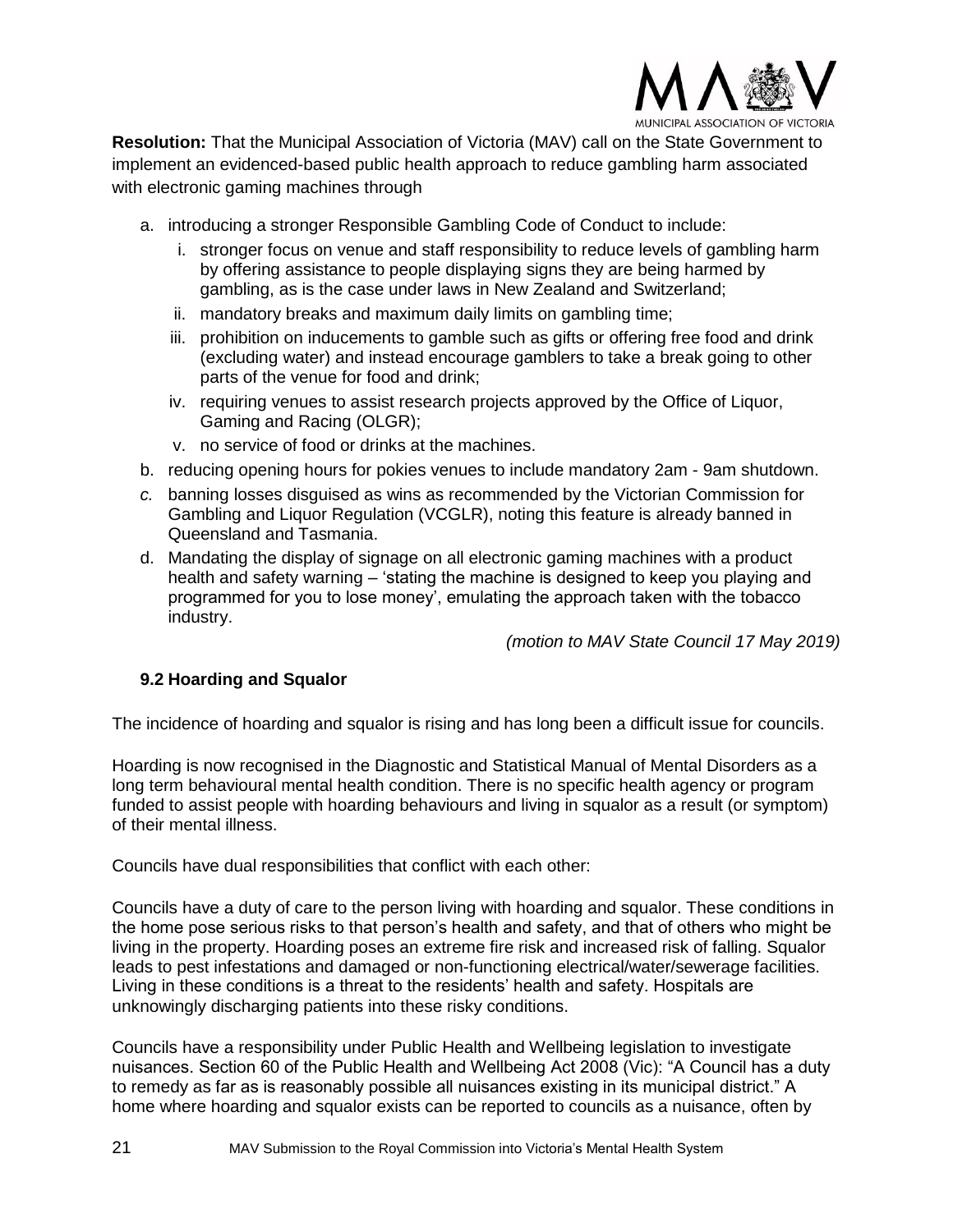

**Resolution:** That the Municipal Association of Victoria (MAV) call on the State Government to implement an evidenced-based public health approach to reduce gambling harm associated with electronic gaming machines through

- a. introducing a stronger Responsible Gambling Code of Conduct to include:
	- i. stronger focus on venue and staff responsibility to reduce levels of gambling harm by offering assistance to people displaying signs they are being harmed by gambling, as is the case under laws in New Zealand and Switzerland;
	- ii. mandatory breaks and maximum daily limits on gambling time;
	- iii. prohibition on inducements to gamble such as gifts or offering free food and drink (excluding water) and instead encourage gamblers to take a break going to other parts of the venue for food and drink;
	- iv. requiring venues to assist research projects approved by the Office of Liquor, Gaming and Racing (OLGR);
	- v. no service of food or drinks at the machines.
- b. reducing opening hours for pokies venues to include mandatory 2am 9am shutdown.
- *c.* banning losses disguised as wins as recommended by the Victorian Commission for Gambling and Liquor Regulation (VCGLR), noting this feature is already banned in Queensland and Tasmania.
- d. Mandating the display of signage on all electronic gaming machines with a product health and safety warning – 'stating the machine is designed to keep you playing and programmed for you to lose money', emulating the approach taken with the tobacco industry.

*(motion to MAV State Council 17 May 2019)*

# **9.2 Hoarding and Squalor**

The incidence of hoarding and squalor is rising and has long been a difficult issue for councils.

Hoarding is now recognised in the Diagnostic and Statistical Manual of Mental Disorders as a long term behavioural mental health condition. There is no specific health agency or program funded to assist people with hoarding behaviours and living in squalor as a result (or symptom) of their mental illness.

Councils have dual responsibilities that conflict with each other:

Councils have a duty of care to the person living with hoarding and squalor. These conditions in the home pose serious risks to that person's health and safety, and that of others who might be living in the property. Hoarding poses an extreme fire risk and increased risk of falling. Squalor leads to pest infestations and damaged or non-functioning electrical/water/sewerage facilities. Living in these conditions is a threat to the residents' health and safety. Hospitals are unknowingly discharging patients into these risky conditions.

Councils have a responsibility under Public Health and Wellbeing legislation to investigate nuisances. Section 60 of the Public Health and Wellbeing Act 2008 (Vic): "A Council has a duty to remedy as far as is reasonably possible all nuisances existing in its municipal district." A home where hoarding and squalor exists can be reported to councils as a nuisance, often by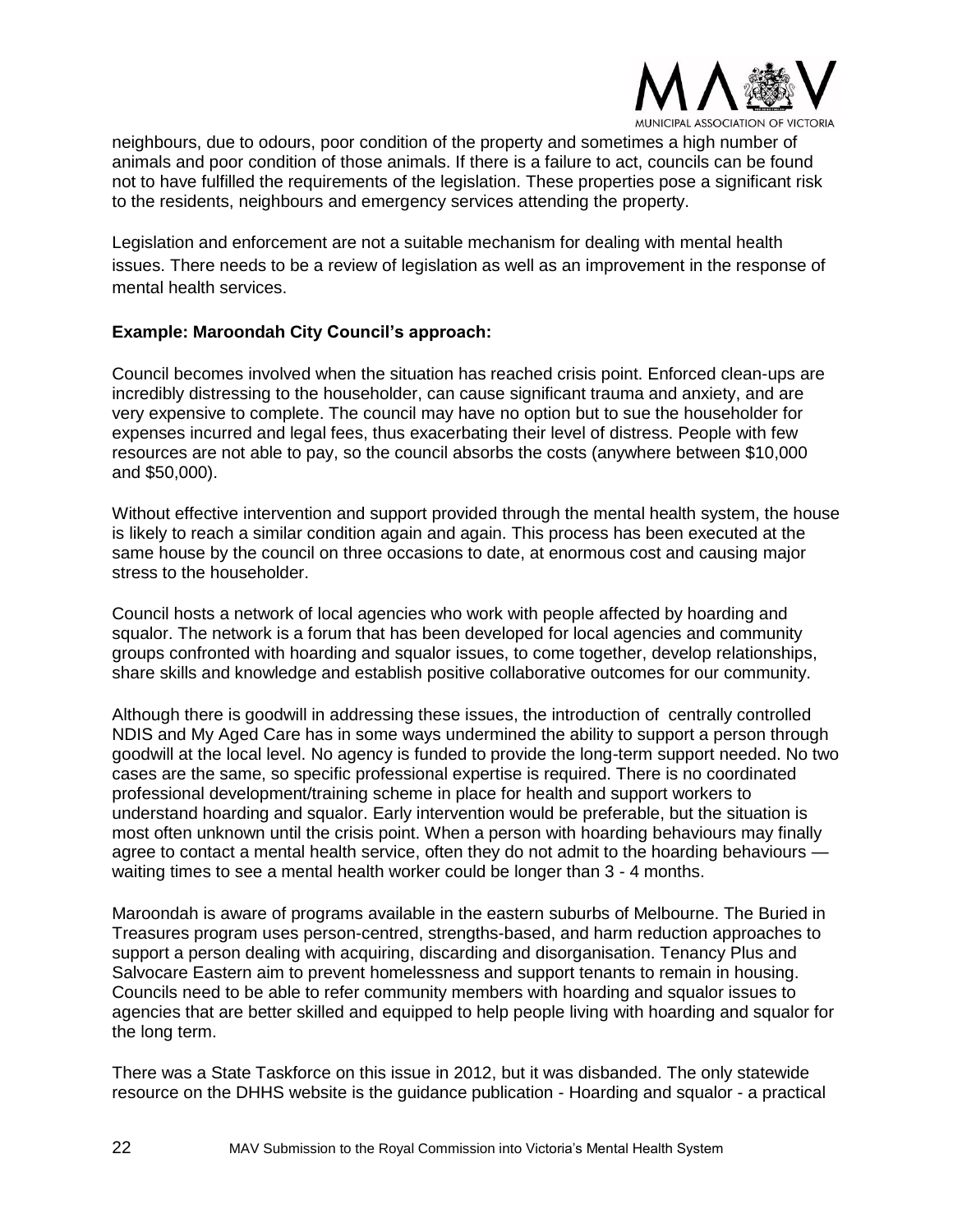

neighbours, due to odours, poor condition of the property and sometimes a high number of animals and poor condition of those animals. If there is a failure to act, councils can be found not to have fulfilled the requirements of the legislation. These properties pose a significant risk to the residents, neighbours and emergency services attending the property.

Legislation and enforcement are not a suitable mechanism for dealing with mental health issues. There needs to be a review of legislation as well as an improvement in the response of mental health services.

# **Example: Maroondah City Council's approach:**

Council becomes involved when the situation has reached crisis point. Enforced clean-ups are incredibly distressing to the householder, can cause significant trauma and anxiety, and are very expensive to complete. The council may have no option but to sue the householder for expenses incurred and legal fees, thus exacerbating their level of distress. People with few resources are not able to pay, so the council absorbs the costs (anywhere between \$10,000 and \$50,000).

Without effective intervention and support provided through the mental health system, the house is likely to reach a similar condition again and again. This process has been executed at the same house by the council on three occasions to date, at enormous cost and causing major stress to the householder.

Council hosts a network of local agencies who work with people affected by hoarding and squalor. The network is a forum that has been developed for local agencies and community groups confronted with hoarding and squalor issues, to come together, develop relationships, share skills and knowledge and establish positive collaborative outcomes for our community.

Although there is goodwill in addressing these issues, the introduction of centrally controlled NDIS and My Aged Care has in some ways undermined the ability to support a person through goodwill at the local level. No agency is funded to provide the long-term support needed. No two cases are the same, so specific professional expertise is required. There is no coordinated professional development/training scheme in place for health and support workers to understand hoarding and squalor. Early intervention would be preferable, but the situation is most often unknown until the crisis point. When a person with hoarding behaviours may finally agree to contact a mental health service, often they do not admit to the hoarding behaviours waiting times to see a mental health worker could be longer than 3 - 4 months.

Maroondah is aware of programs available in the eastern suburbs of Melbourne. The Buried in Treasures program uses person-centred, strengths-based, and harm reduction approaches to support a person dealing with acquiring, discarding and disorganisation. Tenancy Plus and Salvocare Eastern aim to prevent homelessness and support tenants to remain in housing. Councils need to be able to refer community members with hoarding and squalor issues to agencies that are better skilled and equipped to help people living with hoarding and squalor for the long term.

There was a State Taskforce on this issue in 2012, but it was disbanded. The only statewide resource on the DHHS website is the guidance publication - Hoarding and squalor - a practical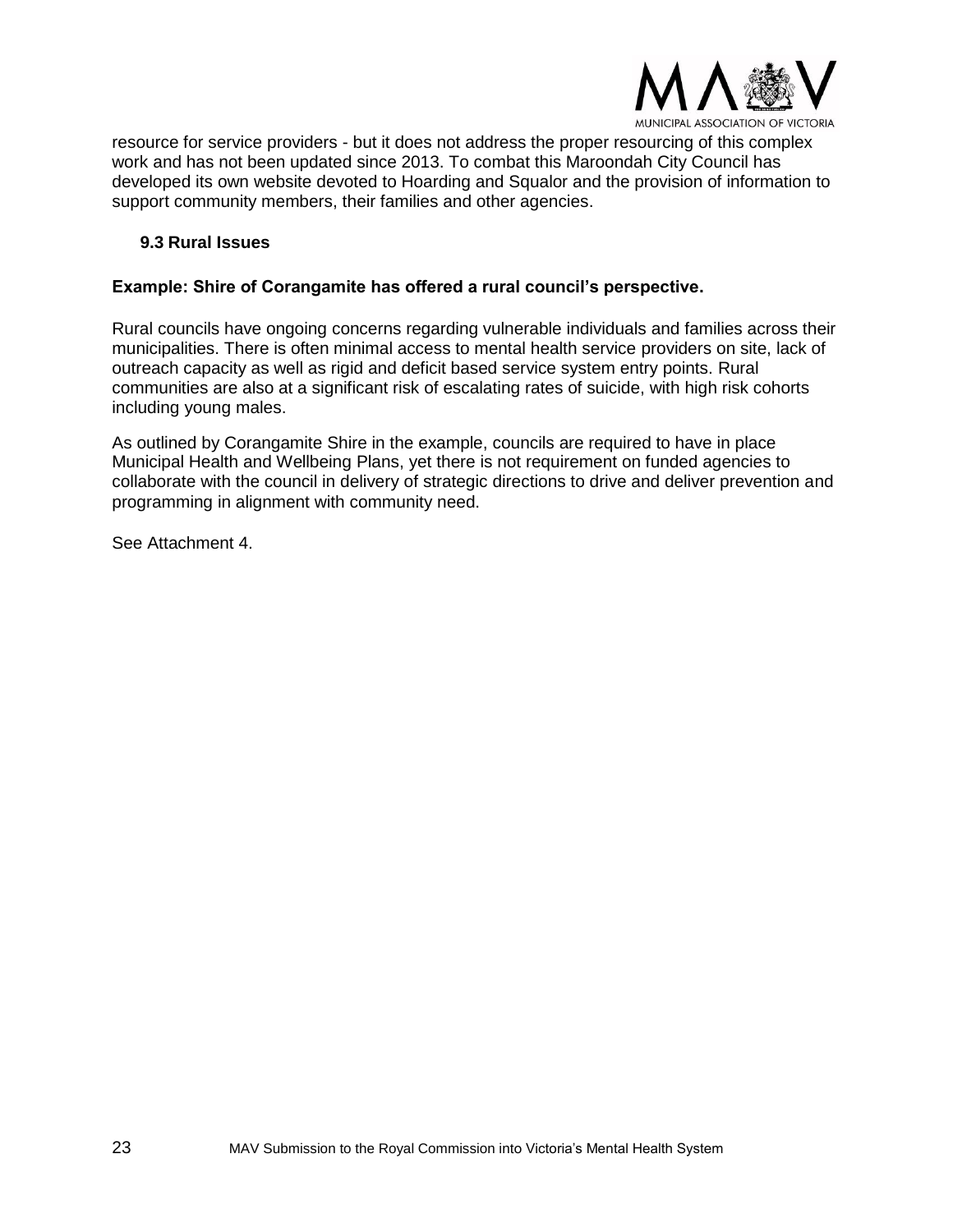

resource for service providers - but it does not address the proper resourcing of this complex work and has not been updated since 2013. To combat this Maroondah City Council has developed its own website devoted to Hoarding and Squalor and the provision of information to support community members, their families and other agencies.

#### **9.3 Rural Issues**

# **Example: Shire of Corangamite has offered a rural council's perspective.**

Rural councils have ongoing concerns regarding vulnerable individuals and families across their municipalities. There is often minimal access to mental health service providers on site, lack of outreach capacity as well as rigid and deficit based service system entry points. Rural communities are also at a significant risk of escalating rates of suicide, with high risk cohorts including young males.

As outlined by Corangamite Shire in the example, councils are required to have in place Municipal Health and Wellbeing Plans, yet there is not requirement on funded agencies to collaborate with the council in delivery of strategic directions to drive and deliver prevention and programming in alignment with community need.

See Attachment 4.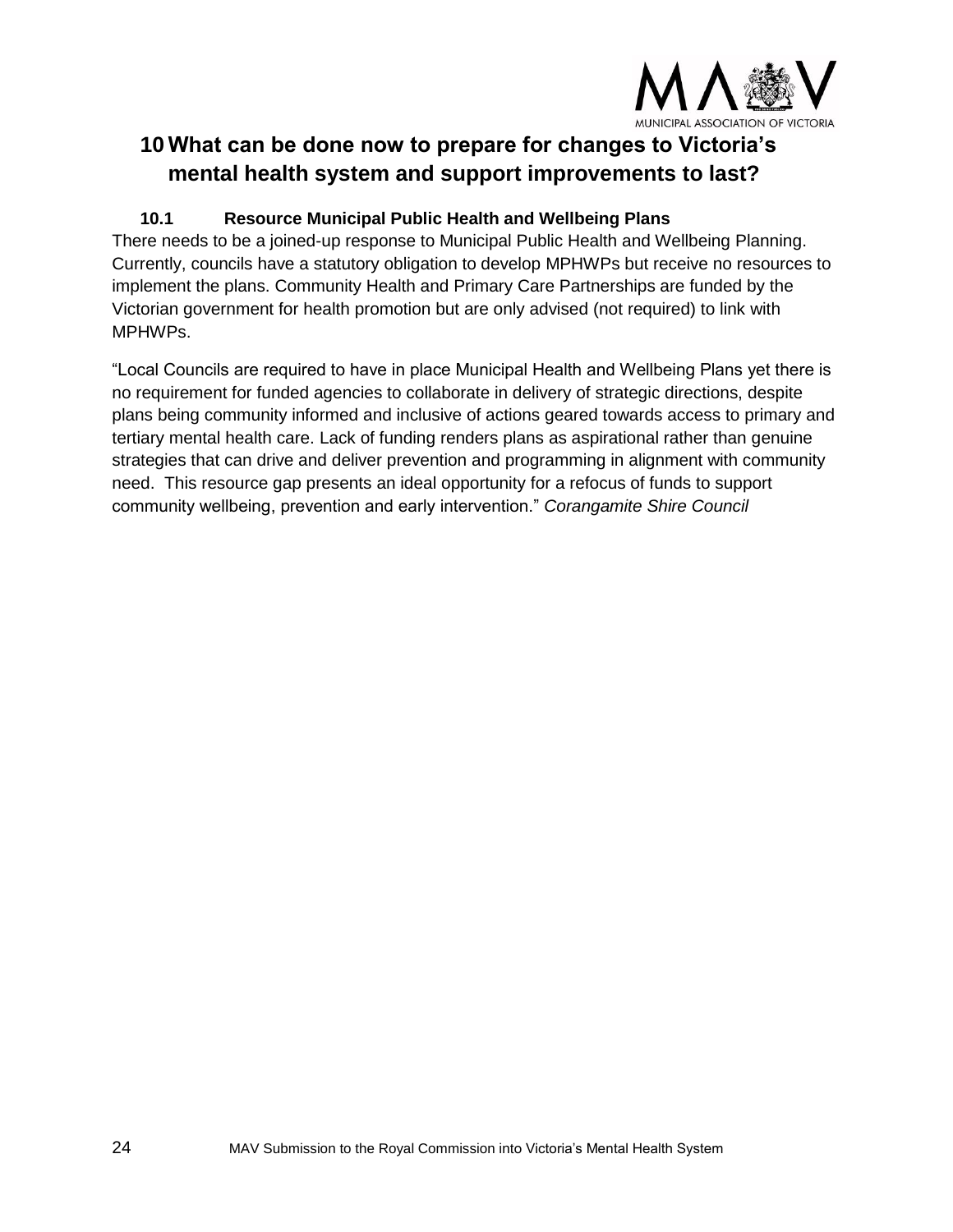

# **10 What can be done now to prepare for changes to Victoria's mental health system and support improvements to last?**

# **10.1 Resource Municipal Public Health and Wellbeing Plans**

There needs to be a joined-up response to Municipal Public Health and Wellbeing Planning. Currently, councils have a statutory obligation to develop MPHWPs but receive no resources to implement the plans. Community Health and Primary Care Partnerships are funded by the Victorian government for health promotion but are only advised (not required) to link with MPHWPs.

"Local Councils are required to have in place Municipal Health and Wellbeing Plans yet there is no requirement for funded agencies to collaborate in delivery of strategic directions, despite plans being community informed and inclusive of actions geared towards access to primary and tertiary mental health care. Lack of funding renders plans as aspirational rather than genuine strategies that can drive and deliver prevention and programming in alignment with community need. This resource gap presents an ideal opportunity for a refocus of funds to support community wellbeing, prevention and early intervention." *Corangamite Shire Council*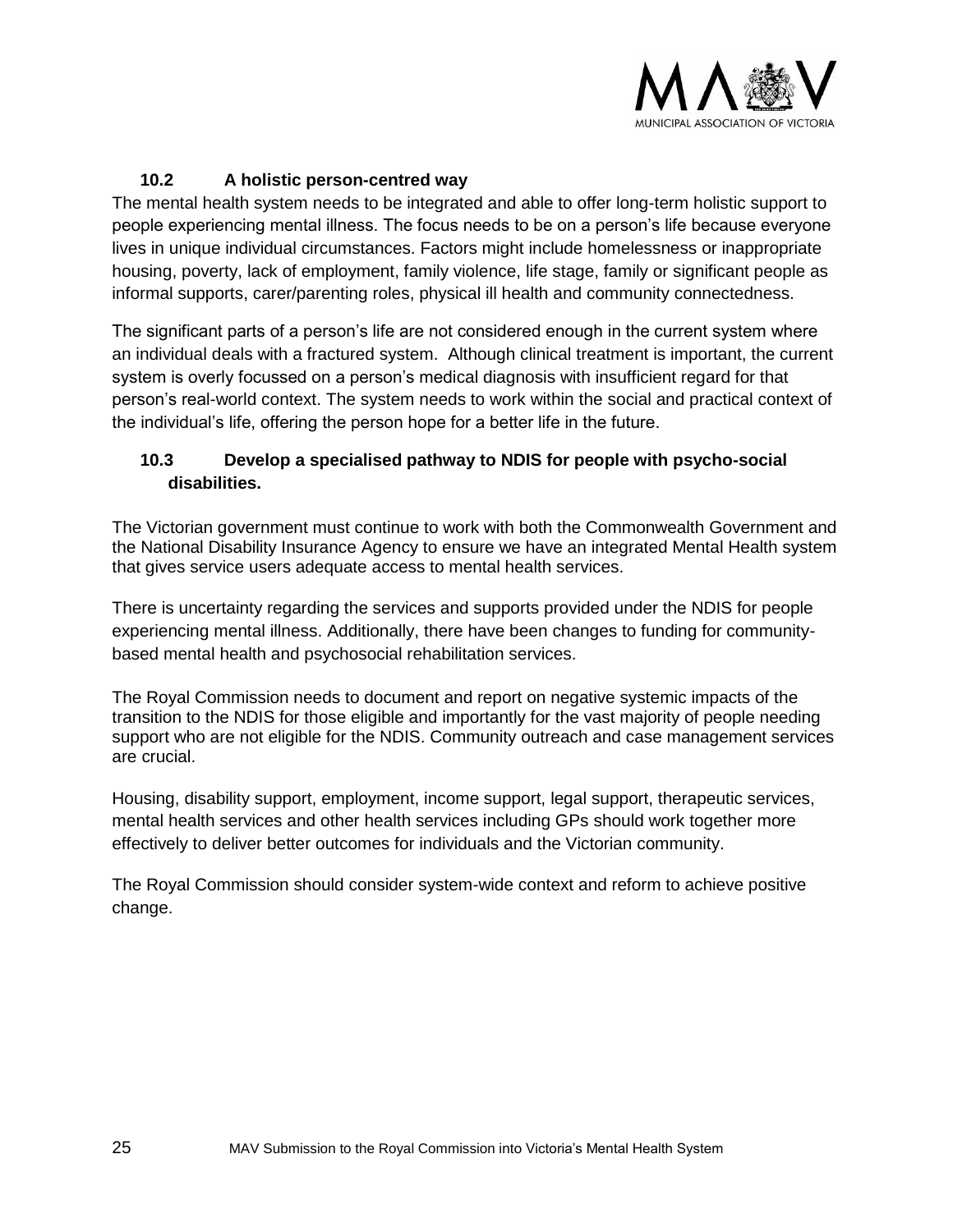

# **10.2 A holistic person-centred way**

The mental health system needs to be integrated and able to offer long-term holistic support to people experiencing mental illness. The focus needs to be on a person's life because everyone lives in unique individual circumstances. Factors might include homelessness or inappropriate housing, poverty, lack of employment, family violence, life stage, family or significant people as informal supports, carer/parenting roles, physical ill health and community connectedness.

The significant parts of a person's life are not considered enough in the current system where an individual deals with a fractured system.Although clinical treatment is important, the current system is overly focussed on a person's medical diagnosis with insufficient regard for that person's real-world context. The system needs to work within the social and practical context of the individual's life, offering the person hope for a better life in the future.

# **10.3 Develop a specialised pathway to NDIS for people with psycho-social disabilities.**

The Victorian government must continue to work with both the Commonwealth Government and the National Disability Insurance Agency to ensure we have an integrated Mental Health system that gives service users adequate access to mental health services.

There is uncertainty regarding the services and supports provided under the NDIS for people experiencing mental illness. Additionally, there have been changes to funding for communitybased mental health and psychosocial rehabilitation services.

The Royal Commission needs to document and report on negative systemic impacts of the transition to the NDIS for those eligible and importantly for the vast majority of people needing support who are not eligible for the NDIS. Community outreach and case management services are crucial.

Housing, disability support, employment, income support, legal support, therapeutic services, mental health services and other health services including GPs should work together more effectively to deliver better outcomes for individuals and the Victorian community.

The Royal Commission should consider system-wide context and reform to achieve positive change.